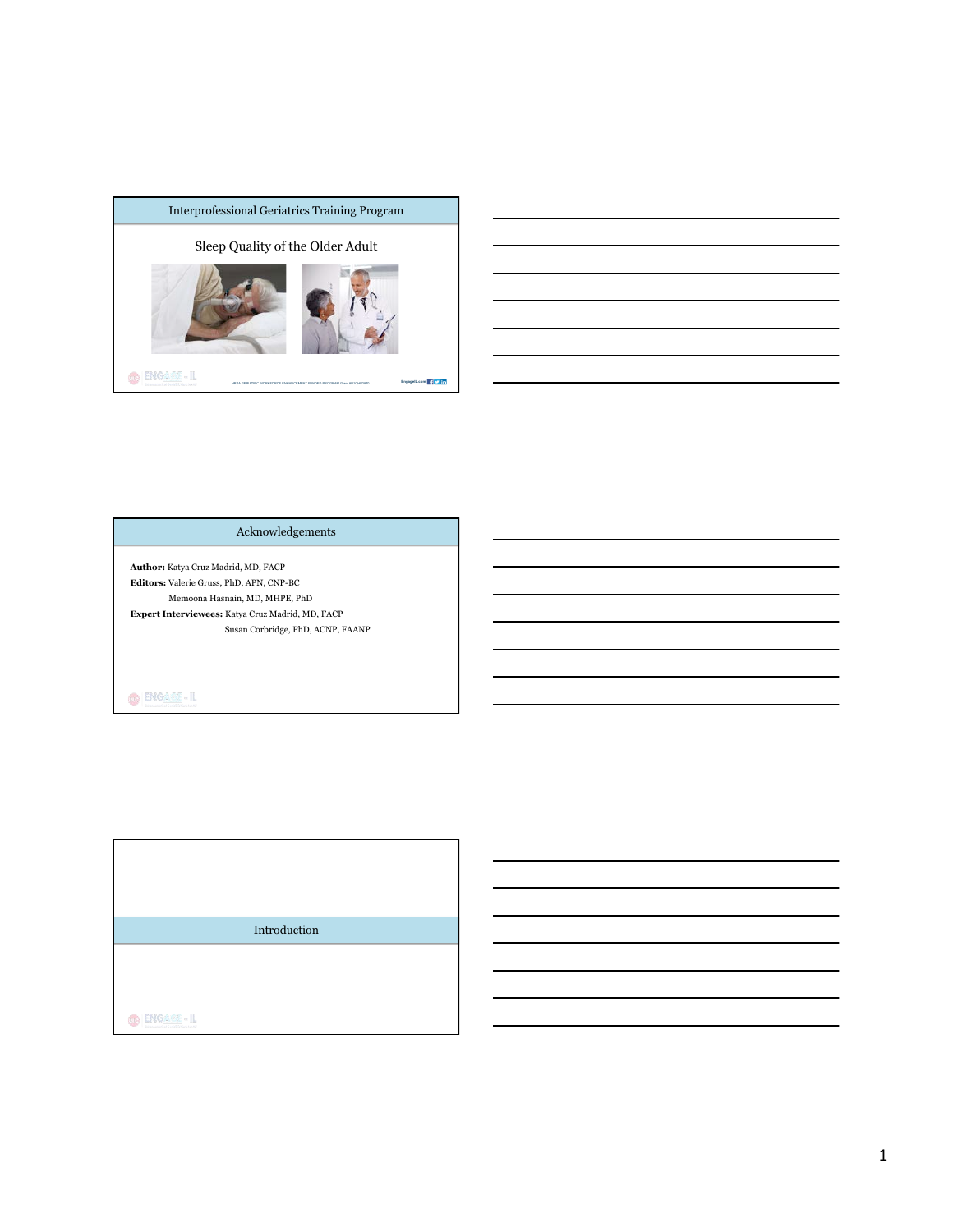

Acknowledgements

**Author:** Katya Cruz Madrid, MD, FACP **Editors:** Valerie Gruss, PhD, APN, CNP-BC Memoona Hasnain, MD, MHPE, PhD **Expert Interviewees:** Katya Cruz Madrid, MD, FACP Susan Corbridge, PhD, ACNP, FAANP

 $\bigcirc$  **ENGAME-IL** 

Introduction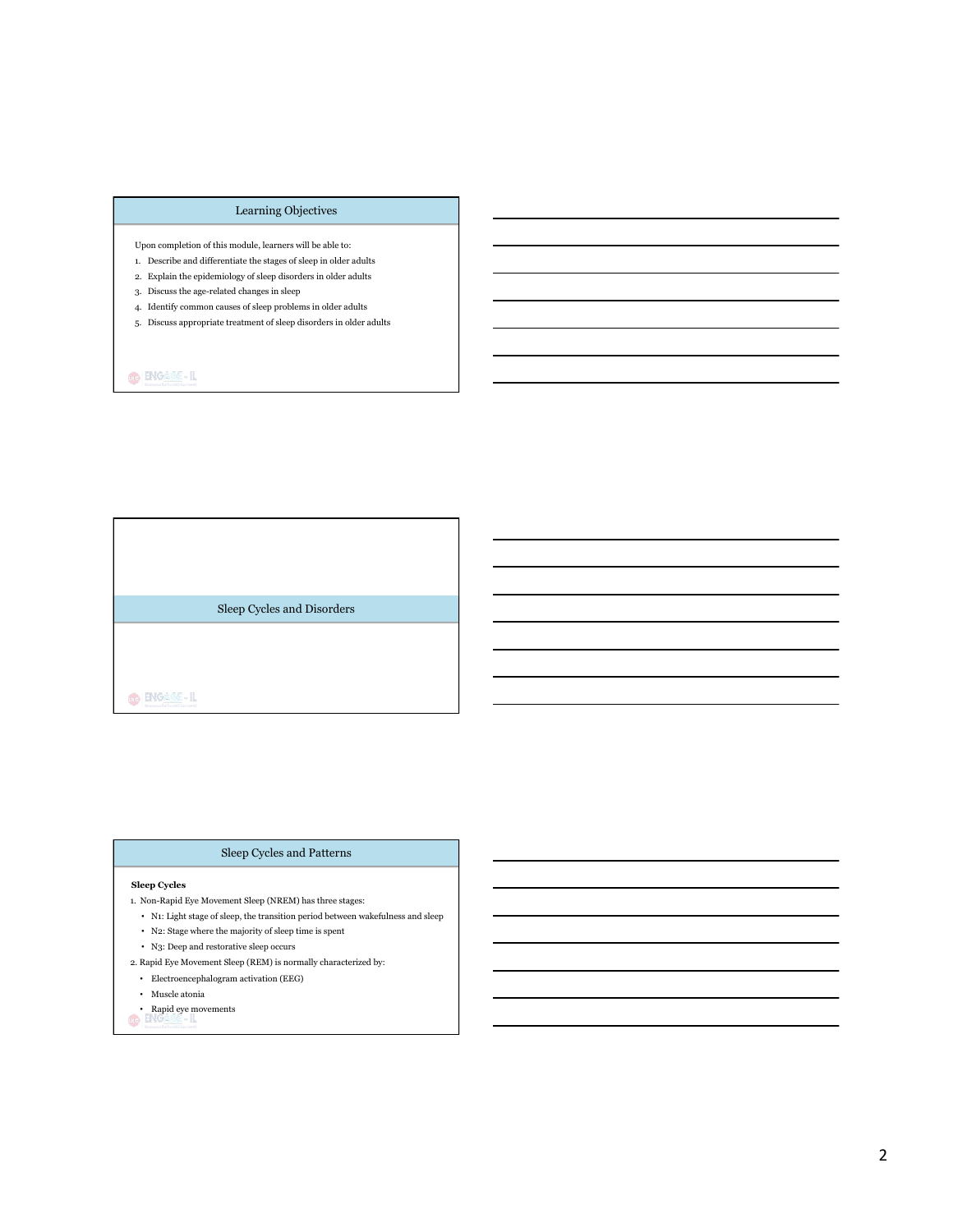# Learning Objectives

Upon completion of this module, learners will be able to:

- 1. Describe and differentiate the stages of sleep in older adults
- 2. Explain the epidemiology of sleep disorders in older adults
- 3. Discuss the age-related changes in sleep
- 4. Identify common causes of sleep problems in older adults
- 5. Discuss appropriate treatment of sleep disorders in older adults

 $\bigcirc$  **ENGAME-IL** 

Sleep Cycles and Disorders

O ENGAGE-IL

#### Sleep Cycles and Patterns

## **Sleep Cycles**

- 1. Non-Rapid Eye Movement Sleep (NREM) has three stages:
- N1: Light stage of sleep, the transition period between wakefulness and sleep
- N2: Stage where the majority of sleep time is spent
- N3: Deep and restorative sleep occurs
- 2. Rapid Eye Movement Sleep (REM) is normally characterized by:
- Electroencephalogram activation (EEG)
- Muscle atonia
- Rapid eye movements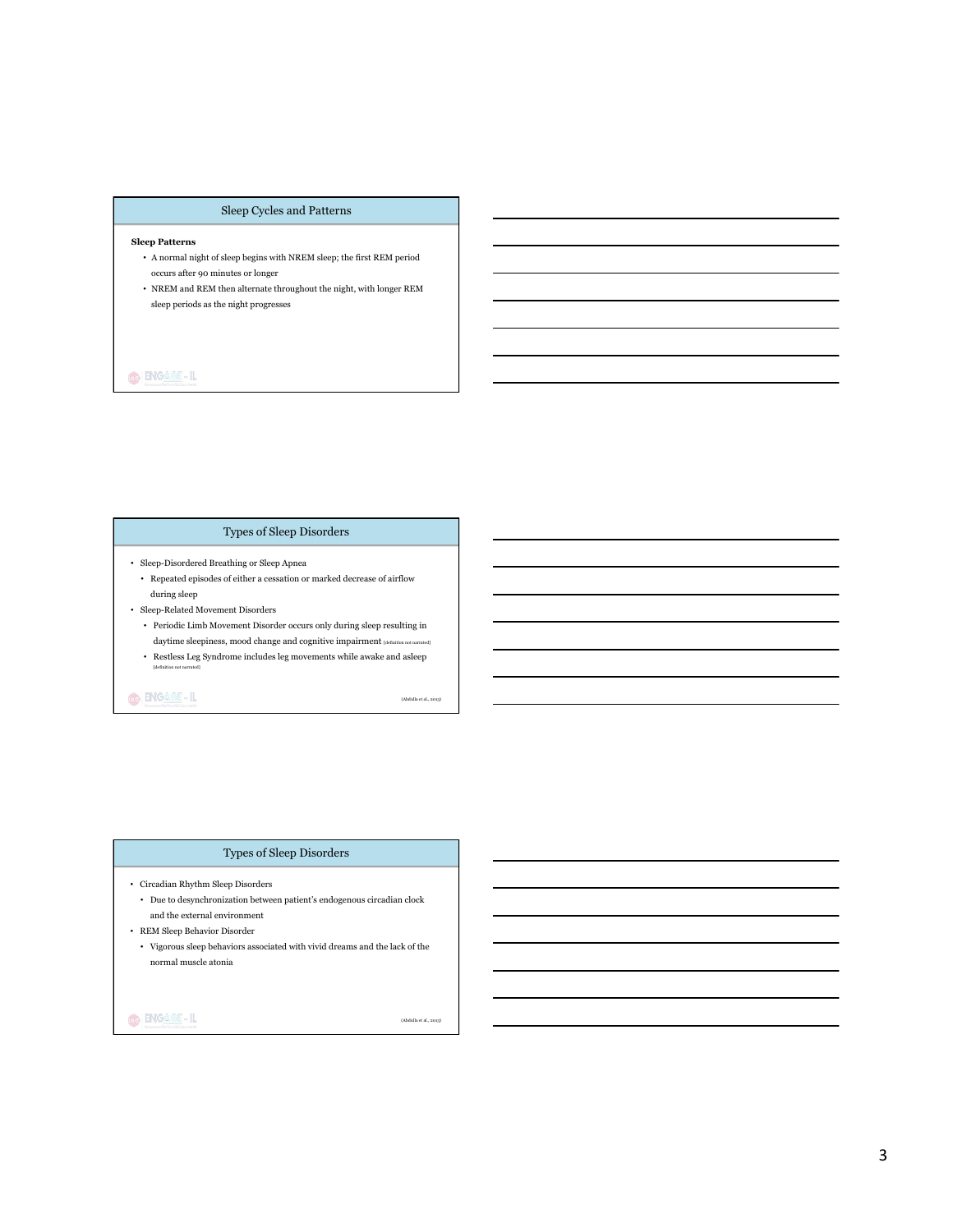# Sleep Cycles and Patterns

#### **Sleep Patterns**

- $\bullet~$  A normal night of sleep begins with NREM sleep; the first REM period occurs after 90 minutes or longer
- NREM and REM then alternate throughout the night, with longer REM sleep periods as the night progresses

# $\bigcirc$  ENGASS-IL

# Types of Sleep Disorders

- Sleep-Disordered Breathing or Sleep Apnea
	- Repeated episodes of either a cessation or marked decrease of airflow during sleep
- Sleep-Related Movement Disorders
	- Periodic Limb Movement Disorder occurs only during sleep resulting in daytime sleepiness, mood change and cognitive impairment [definition not
	- Restless Leg Syndrome includes leg movements while awake and asleep

### O ENGAGE-IL

[definition not narrated]

(Abdulla et al., 2013)

(Abdulla et al., 2013)

### Types of Sleep Disorders

- Circadian Rhythm Sleep Disorders
- $\bullet~$  Due to desynchronization between patient's endogenous circadian clock and the external environment
- REM Sleep Behavior Disorder
- Vigorous sleep behaviors associated with vivid dreams and the lack of the normal muscle atonia

### $\bigcirc$  ENGAGE-IL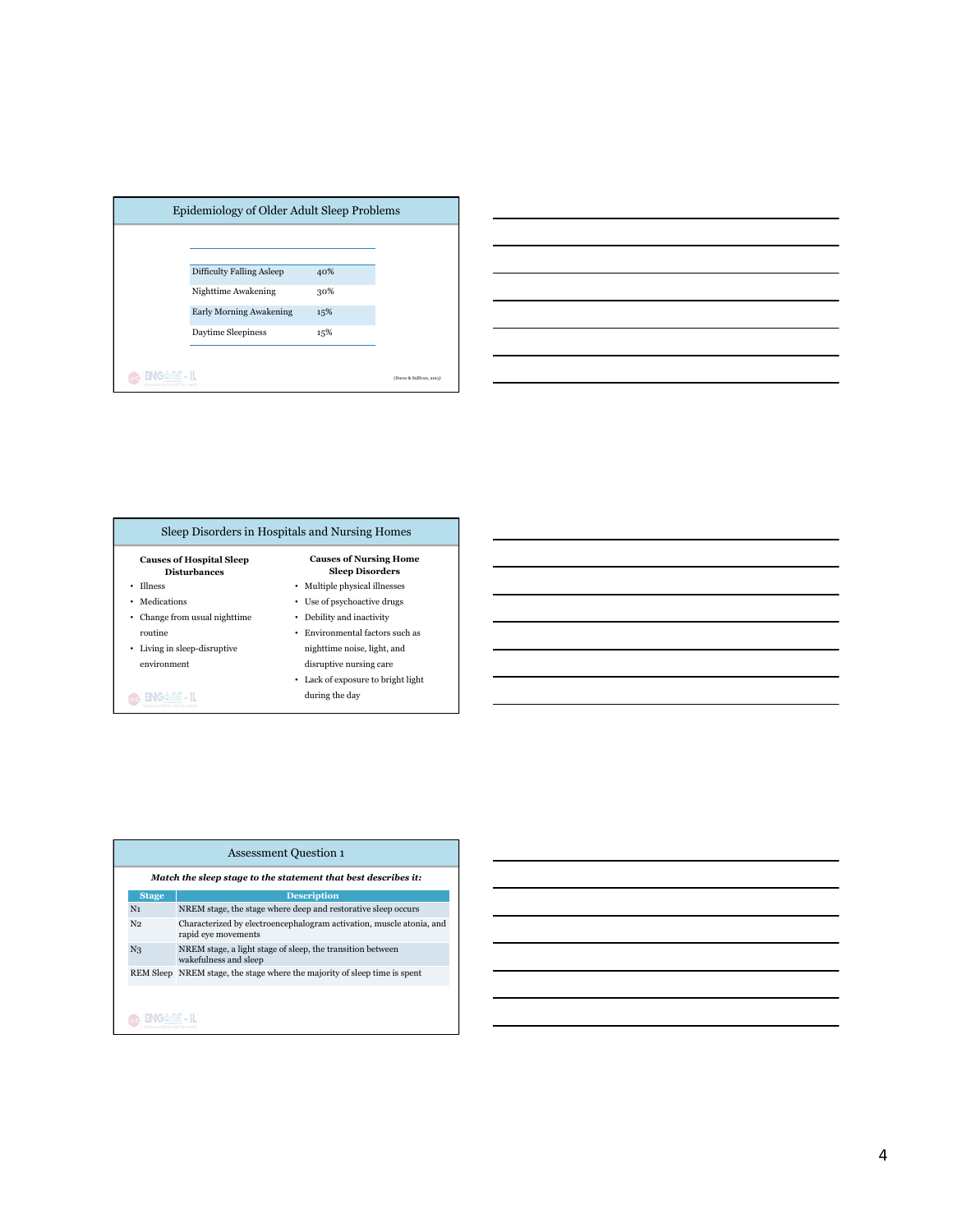|      | Epidemiology of Older Adult Sleep Problems |     |                          |
|------|--------------------------------------------|-----|--------------------------|
|      |                                            |     |                          |
|      | <b>Difficulty Falling Asleep</b>           | 40% |                          |
|      | Nighttime Awakening                        | 30% |                          |
|      | <b>Early Morning Awakening</b>             | 15% |                          |
|      | Daytime Sleepiness                         | 15% |                          |
|      |                                            |     |                          |
| us e |                                            |     | (Durso & Sullivan, 2013) |



| <b>Causes of Hospital Sleep</b><br><b>Disturbances</b> | <b>Causes of Nursing Home</b><br><b>Sleep Disorders</b> |
|--------------------------------------------------------|---------------------------------------------------------|
| <b>Illness</b>                                         | • Multiple physical illnesses                           |
| Medications                                            | Use of psychoactive drugs                               |
| Change from usual nighttime                            | Debility and inactivity                                 |
| routine                                                | Environmental factors such as                           |
| Living in sleep-disruptive<br>٠                        | nighttime noise, light, and                             |
| environment                                            | disruptive nursing care                                 |
|                                                        | • Lack of exposure to bright light                      |

|                | <b>Assessment Question 1</b>                                                                |
|----------------|---------------------------------------------------------------------------------------------|
|                | Match the sleep stage to the statement that best describes it:                              |
| <b>Stage</b>   | <b>Description</b>                                                                          |
| N <sub>1</sub> | NREM stage, the stage where deep and restorative sleep occurs                               |
| N <sub>2</sub> | Characterized by electroencephalogram activation, muscle atonia, and<br>rapid eye movements |
| N <sub>3</sub> | NREM stage, a light stage of sleep, the transition between<br>wakefulness and sleep         |
|                | REM Sleep NREM stage, the stage where the majority of sleep time is spent                   |
|                |                                                                                             |
|                |                                                                                             |

# 4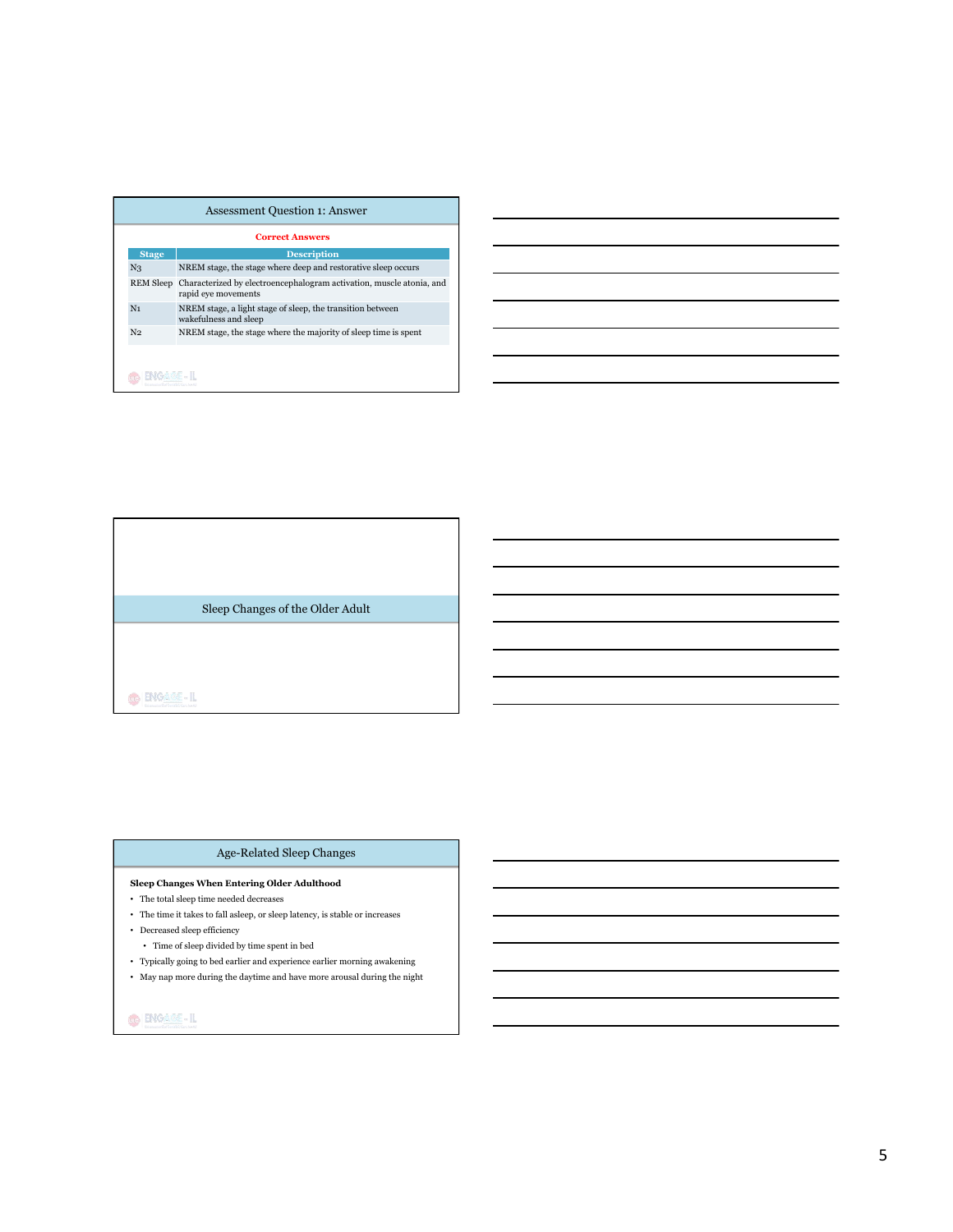|                  | <b>Assessment Question 1: Answer</b>                                                        |
|------------------|---------------------------------------------------------------------------------------------|
|                  | <b>Correct Answers</b>                                                                      |
| <b>Stage</b>     | <b>Description</b>                                                                          |
| N <sub>3</sub>   | NREM stage, the stage where deep and restorative sleep occurs                               |
| <b>REM Sleep</b> | Characterized by electroencephalogram activation, muscle atonia, and<br>rapid eye movements |
| N <sub>1</sub>   | NREM stage, a light stage of sleep, the transition between<br>wakefulness and sleep         |
| N <sub>2</sub>   | NREM stage, the stage where the majority of sleep time is spent                             |
|                  |                                                                                             |
|                  |                                                                                             |

Sleep Changes of the Older Adult

 $\bigcirc$  **ENGAME-IL** 

## Age-Related Sleep Changes

## **Sleep Changes When Entering Older Adulthood**

- The total sleep time needed decreases
- $\bullet~$  The time it takes to fall as<br>leep, or sleep latency, is stable or increases
- $\bullet~$  Decreased sleep efficiency
- Time of sleep divided by time spent in bed
- Typically going to bed earlier and experience earlier morning awakening
- May nap more during the daytime and have more arousal during the night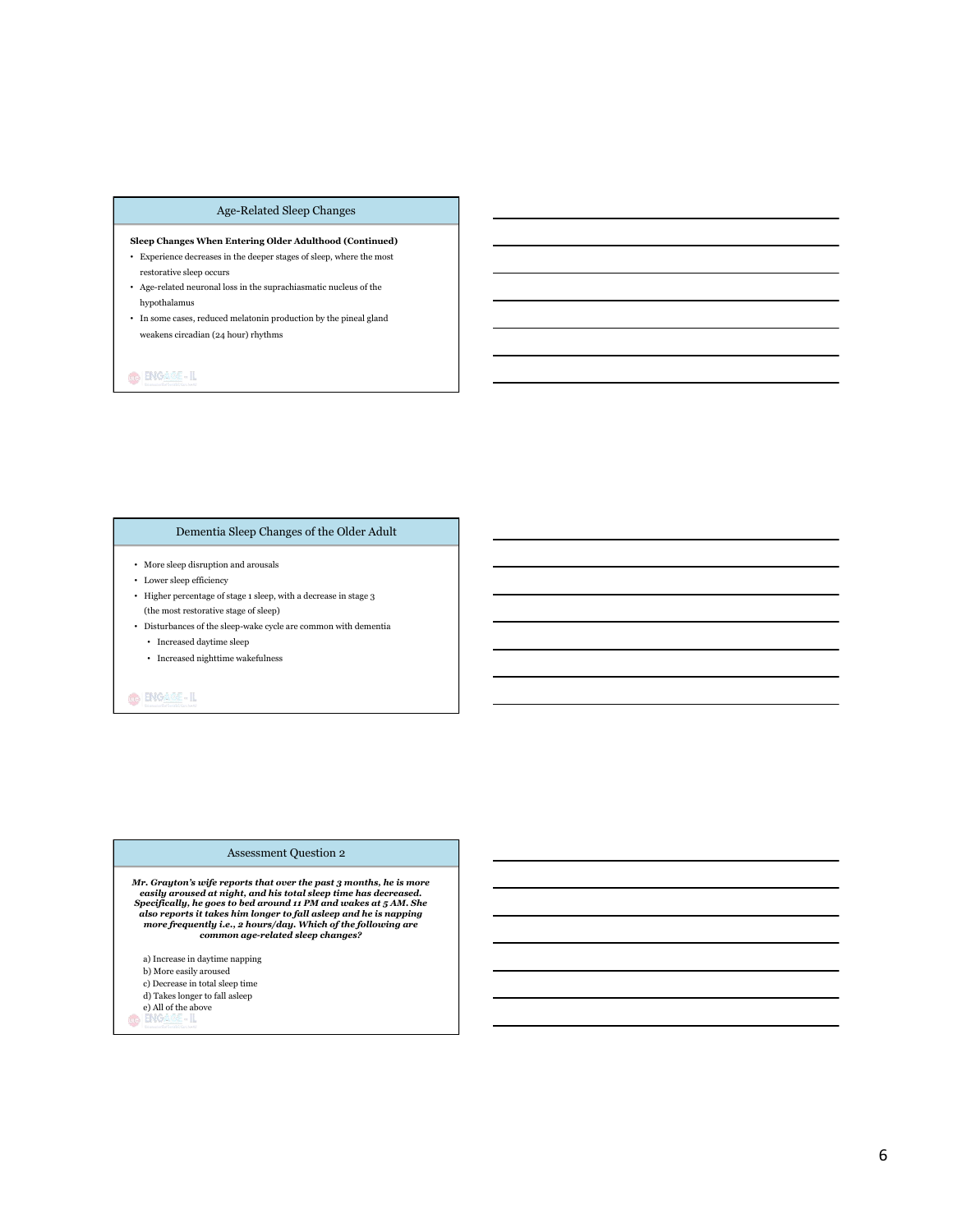# Age-Related Sleep Changes

# **Sleep Changes When Entering Older Adulthood (Continued)**

- $\bullet~$  Experience decreases in the deeper stages of sleep, where the most restorative sleep occurs
- Age-related neuronal loss in the suprachiasmatic nucleus of the hypothalamus
- $\bullet~$  In some cases, reduced melatonin production by the pineal gland weakens circadian (24 hour) rhythms

# **GENGARE-IL**

# Dementia Sleep Changes of the Older Adult

- $\bullet~$  More sleep disruption and arousals
- Lower sleep efficiency
- Higher percentage of stage 1 sleep, with a decrease in stage 3 (the most restorative stage of sleep)
- $\bullet~$  Disturbances of the sleep-wake cycle are common with dementia
	- Increased daytime sleep
	- Increased nighttime wakefulness

# O ENGAME-IL

#### Assessment Question 2

Mr. Grayton's wife reports that over the past 3 months, he is more<br>easily aroused at night, and his total sleep time has decreased.<br>Specifically, he goes to bed around 11 PM and wakes at 5 AM. She<br>also reports it takes hi

- a) Increase in daytime napping b) More easily aroused c) Decrease in total sleep time d) Takes longer to fall asleep e) All of the above
	- 11.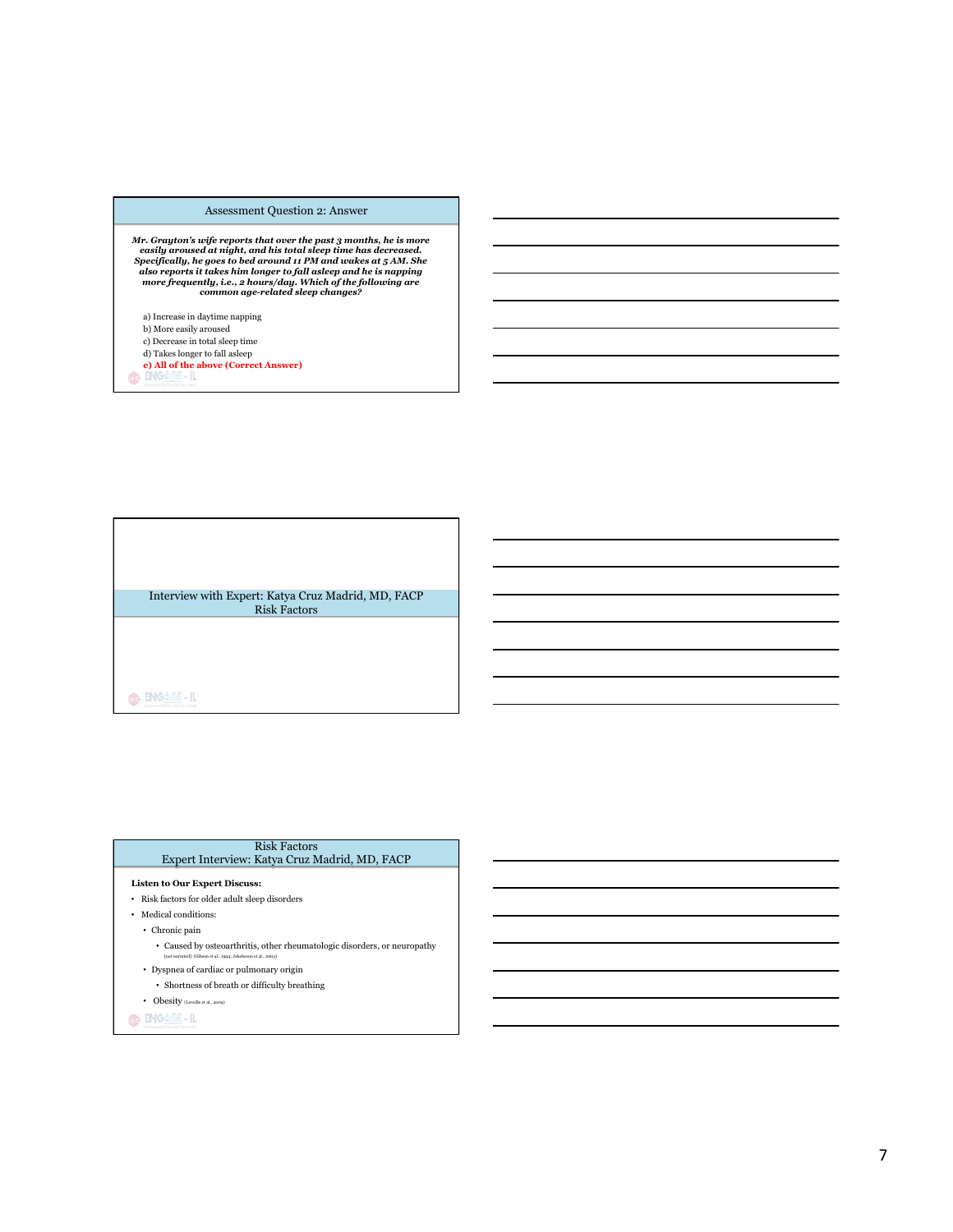### Assessment Question 2: Answer

Mr. Grayton's wife reports that over the past 3 months, he is more<br>easily aroused at night, and his total sleep time has decreased.<br>Specifically, he goes to bed around 11 PM and wakes at 5 AM. She<br>also reports it takes hi

- a) Increase in daytime napping
- b) More easily aroused c) Decrease in total sleep time
- d) Takes longer to fall asleep
- **e) All of the above (Correct Answer)** 
	-

Interview with Expert: Katya Cruz Madrid, MD, FACP Risk Factors

O ENGAGE-IL

## Risk Factors

# Expert Interview: Katya Cruz Madrid, MD, FACP

## **Listen to Our Expert Discuss:**

- $\bullet~$  Risk factors for older adult sleep disorders
- Medical conditions:  $% \left\vert \cdot \right\rangle$
- Chronic pain
	- $\bullet~$  Caused by osteoarthritis, other rheumatologic disorders, or neuropathy [not narrated] (Gibson et al., 1994; Jakobsson et al., 2003)
- Dyspnea of cardiac or pulmonary origin
	- $\bullet~$  Shortness of breath or difficulty breathing
- $\bullet$  Obesity (Leveille et al., 2009)

 $\bigoplus \big[\underbrace{\text{ENGASE}}_{\text{RMS}}\cdot \text{IL} \big]$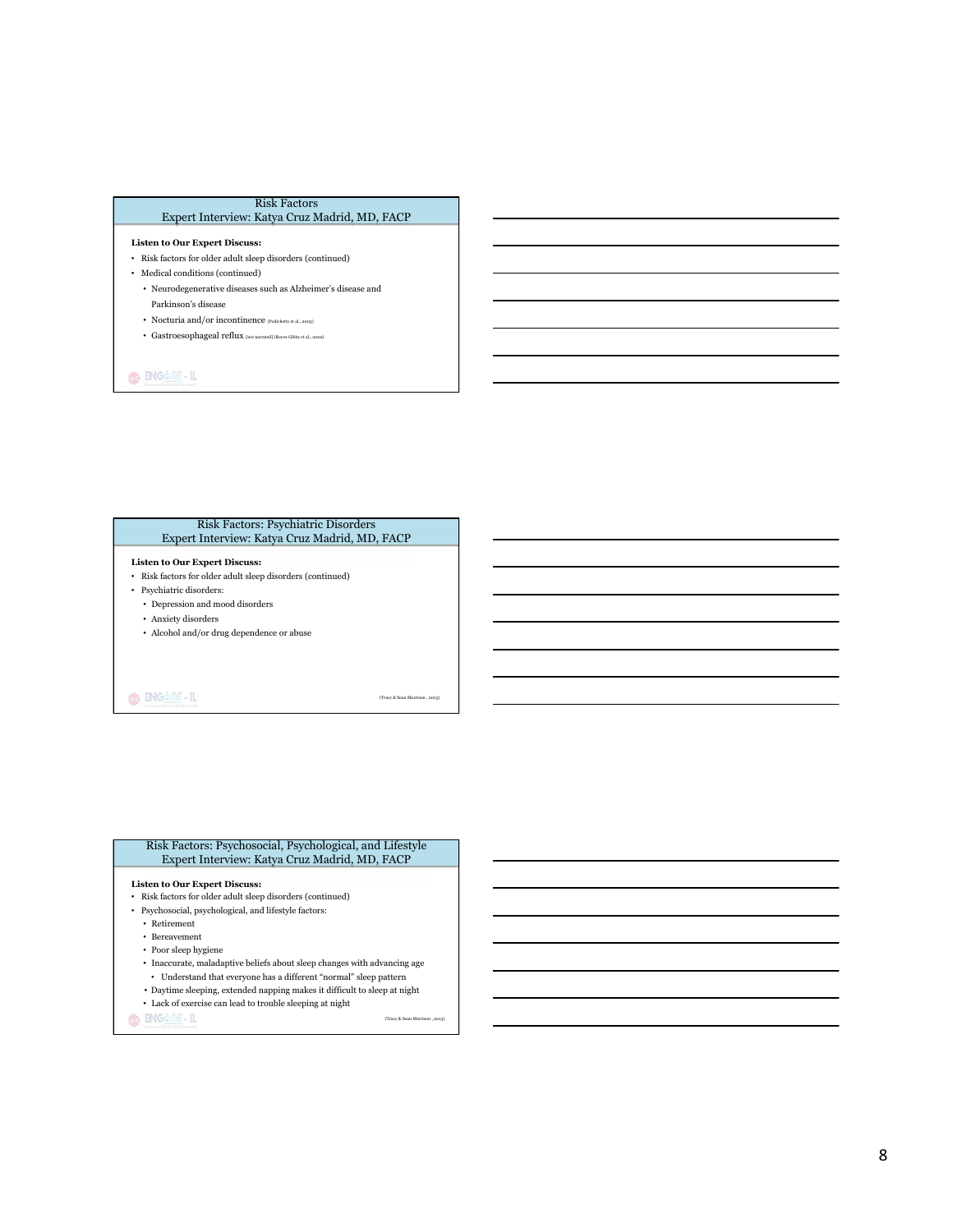#### Risk Factors Expert Interview: Katya Cruz Madrid, MD, FACP

#### **Listen to Our Expert Discuss:**

- Risk factors for older adult sleep disorders (continued)
- Medical conditions (continued)
	- Neurodegenerative diseases such as Alzheimer's disease and Parkinson's disease
	- Nocturia and/or incontinence  $_{\rm (Podichetty~et~al.,\,2003)}$
	- Gastroesophageal reflux [not narrated] (Reyes-Gibby et al., 2002)

**GENGARE-IL** 

#### Risk Factors: Psychiatric Disorders Expert Interview: Katya Cruz Madrid, MD, FACP

#### **Listen to Our Expert Discuss:**

- Risk factors for older adult sleep disorders (continued)
- Psychiatric disorders:
- Depression and mood disorders
- Anxiety disorders
- Alcohol and/or drug dependence or abuse

O BIGARE-IL

(Tracy & Sean Morrison , 2013)

(Tracy & Sean Morrison , 2013)

#### Risk Factors: Psychosocial, Psychological, and Lifestyle Expert Interview: Katya Cruz Madrid, MD, FACP

#### **Listen to Our Expert Discuss:**

- Risk factors for older adult sleep disorders (continued)
- $\bullet~$  Psychosocial, psychological, and lifestyle factors:
	- Retirement
	- Bereavement
	- Poor sleep hygiene
	- Inaccurate, maladaptive beliefs about sleep changes with advancing age
	- Understand that everyone has a different "normal" sleep pattern
	- Daytime sleeping, extended napping makes it difficult to sleep at night
	- Lack of exercise can lead to trouble sleeping at night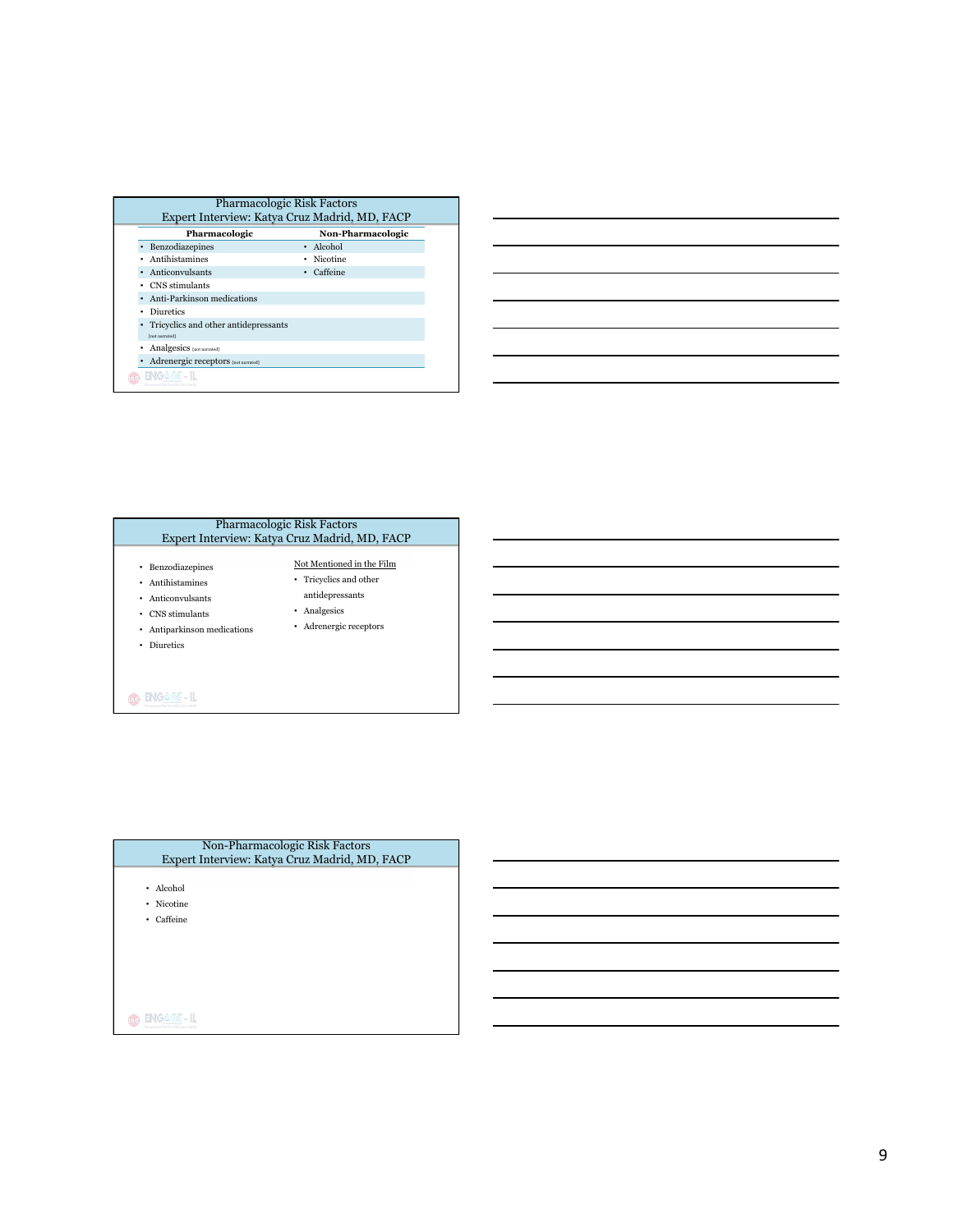| Pharmacologic                            | Non-Pharmacologic |
|------------------------------------------|-------------------|
| Benzodiazepines                          | • Alcohol         |
| Antihistamines                           | Nicotine          |
| Anticonvulsants                          | Caffeine          |
| CNS stimulants                           |                   |
| Anti-Parkinson medications               |                   |
| Diuretics<br>٠                           |                   |
| Tricyclics and other antidepressants     |                   |
| [not narrated]                           |                   |
| Analgesics [not narrated]                |                   |
| Adrenergic receptors [not narrated]<br>٠ |                   |





| Non-Pharmacologic Risk Factors<br>Expert Interview: Katya Cruz Madrid, MD, FACP |  |
|---------------------------------------------------------------------------------|--|
| Alcohol<br>٠                                                                    |  |
| Nicotine<br>٠                                                                   |  |
| Caffeine<br>٠                                                                   |  |
|                                                                                 |  |
|                                                                                 |  |
|                                                                                 |  |
|                                                                                 |  |
|                                                                                 |  |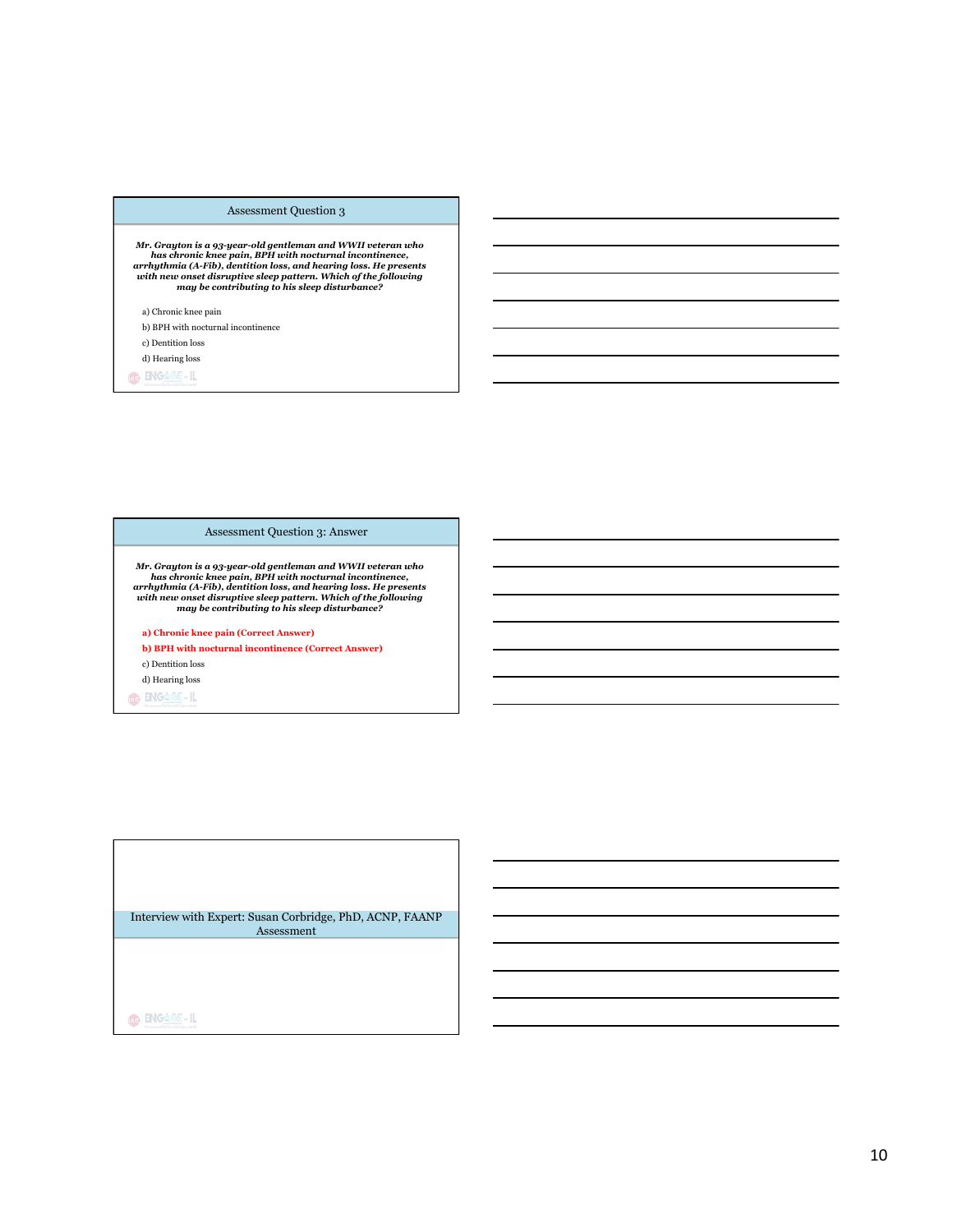### Assessment Question 3

Mr. Grayton is a 93-year-old gentleman and WWII veteran who<br>has chronic knee pain, BPH with nocturnal incontinence,<br>arrhythmia (A-Fib), dentition loss, and hearing loss. He presents<br>with new onset disruptive sleep pattern.

a) Chronic knee pain

b) BPH with nocturnal incontinence

c) Dentition loss

d) Hearing loss

**GENGARE-IL** 

### Assessment Question 3: Answer

Mr. Grayton is a 93-year-old gentleman and WWII veteran who<br>has chronic knee pain, BPH with nocturnal incontinence,<br>arrhythmia (A-Fib), dentition loss, and hearing loss. He presents<br>with new onset disruptive sleep pattern.

**a) Chronic knee pain (Correct Answer)** 

**b) BPH with nocturnal incontinence (Correct Answer)**  c) Dentition loss

d) Hearing loss

**O** BIGAGE-IL

Interview with Expert: Susan Corbridge, PhD, ACNP, FAANP Assessment

 $\bigcirc$  **ENGASE-IL**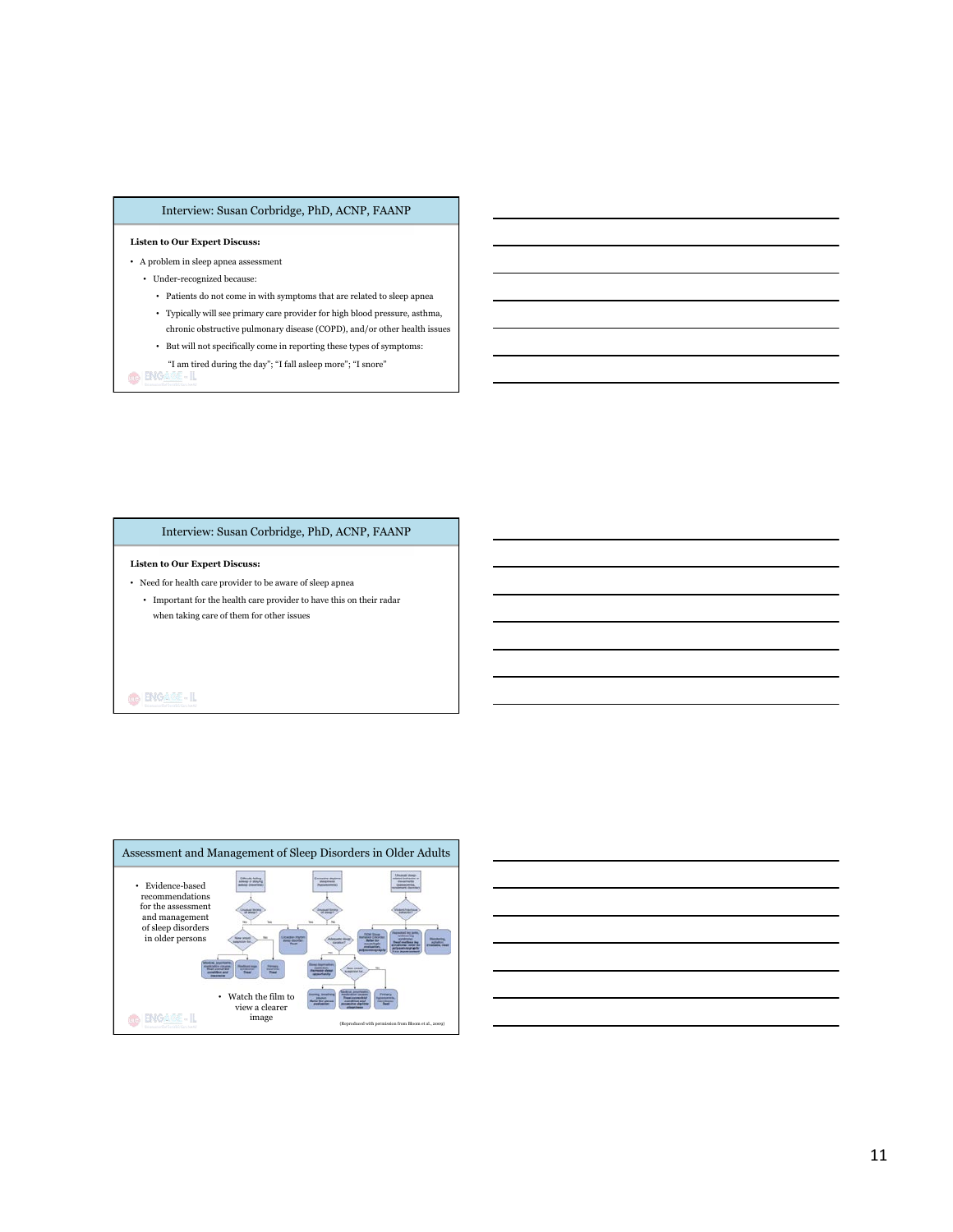# Interview: Susan Corbridge, PhD, ACNP, FAANP

#### **Listen to Our Expert Discuss:**

- A problem in sleep apnea assessment
	- Under-recognized because:
		- Patients do not come in with symptoms that are related to sleep apnea • Typically will see primary care provider for high blood pressure, asthma,
		- chronic obstructive pulmonary disease (COPD), and/or other health issues
		- $\bullet~$  But will not specifically come in reporting these types of symptoms:
- $^{\circ}$  T am tired during the day"; "I fall as<br>leep more"; "I snore"  $^{\circ}$  BNG  $\cong$  BNG<br> $\cong$

# Interview: Susan Corbridge, PhD, ACNP, FAANP

#### **Listen to Our Expert Discuss:**

- Need for health care provider to be aware of sleep apnea
	- Important for the health care provider to have this on their radar when taking care of them for other issues

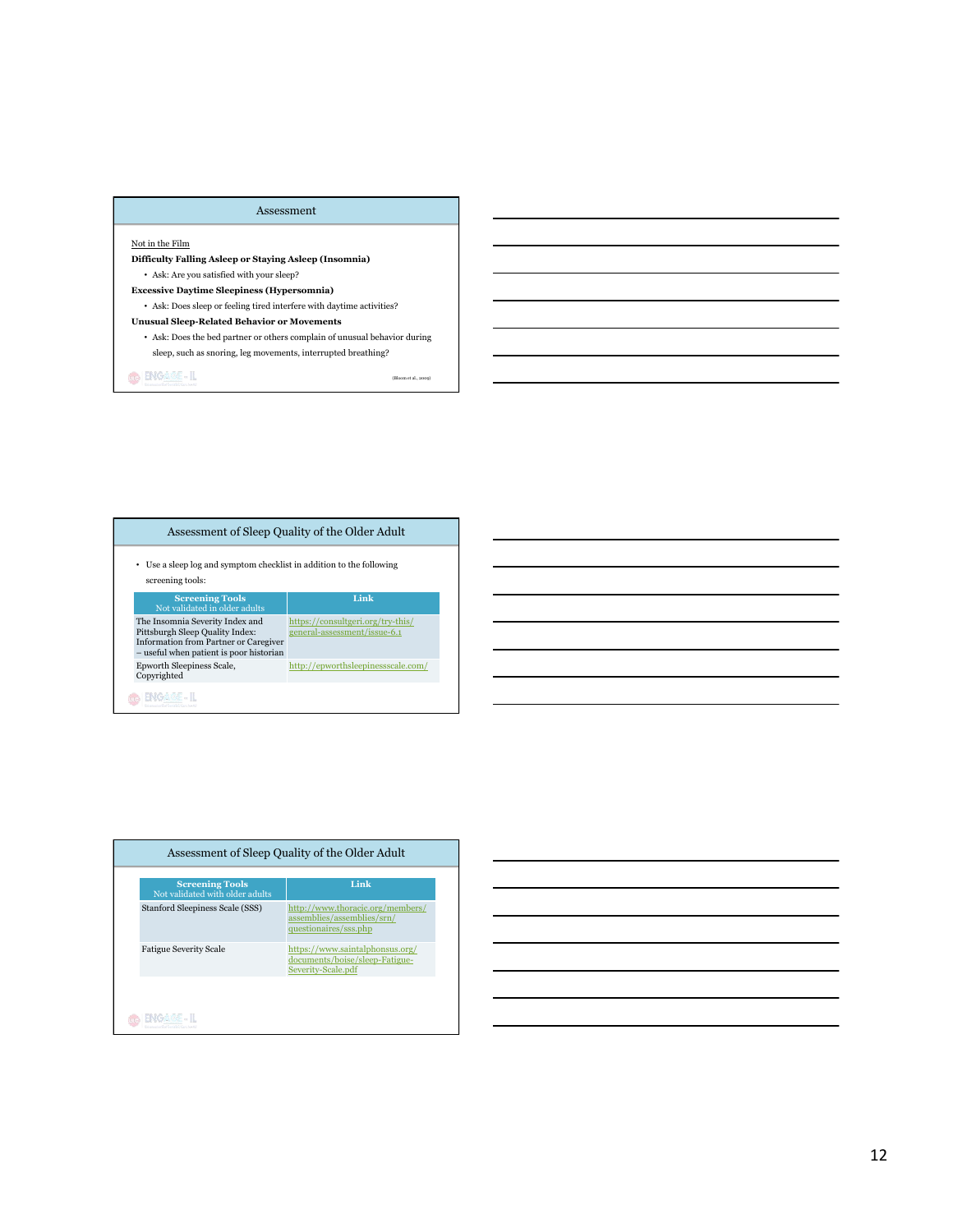# Assessment

## Not in the Film

**Difficulty Falling Asleep or Staying Asleep (Insomnia)**  • Ask: Are you satisfied with your sleep?

**Excessive Daytime Sleepiness (Hypersomnia)** 

 $\bullet~$  Ask: Does sleep or feeling tired interfere with daytime activities?

# **Unusual Sleep-Related Behavior or Movements**

• Ask: Does the bed partner or others complain of unusual behavior during sleep, such as snoring, leg movements, interrupted breathing?

(Bloom et al., 2009)

| Assessment of Sleep Quality of the Older Adult                                                                                                                |                                                                   |
|---------------------------------------------------------------------------------------------------------------------------------------------------------------|-------------------------------------------------------------------|
| • Use a sleep log and symptom checklist in addition to the following<br>screening tools:                                                                      |                                                                   |
| <b>Screening Tools</b><br>Not validated in older adults                                                                                                       | Link                                                              |
| The Insomnia Severity Index and<br>Pittsburgh Sleep Quality Index:<br><b>Information from Partner or Caregiver</b><br>- useful when patient is poor historian | https://consultgeri.org/try-this/<br>general-assessment/issue-6.1 |
| Epworth Sleepiness Scale,                                                                                                                                     | http://epworthsleepinessscale.com/                                |

| <b>Screening Tools</b><br>Not validated with older adults | Link                                                                                    |
|-----------------------------------------------------------|-----------------------------------------------------------------------------------------|
| Stanford Sleepiness Scale (SSS)                           | http://www.thoracic.org/members/<br>assemblies/assemblies/srn/<br>questionaires/sss.php |
| <b>Fatigue Severity Scale</b>                             | https://www.saintalphonsus.org/<br>documents/boise/sleep-Fatigue-<br>Severity-Scale.pdf |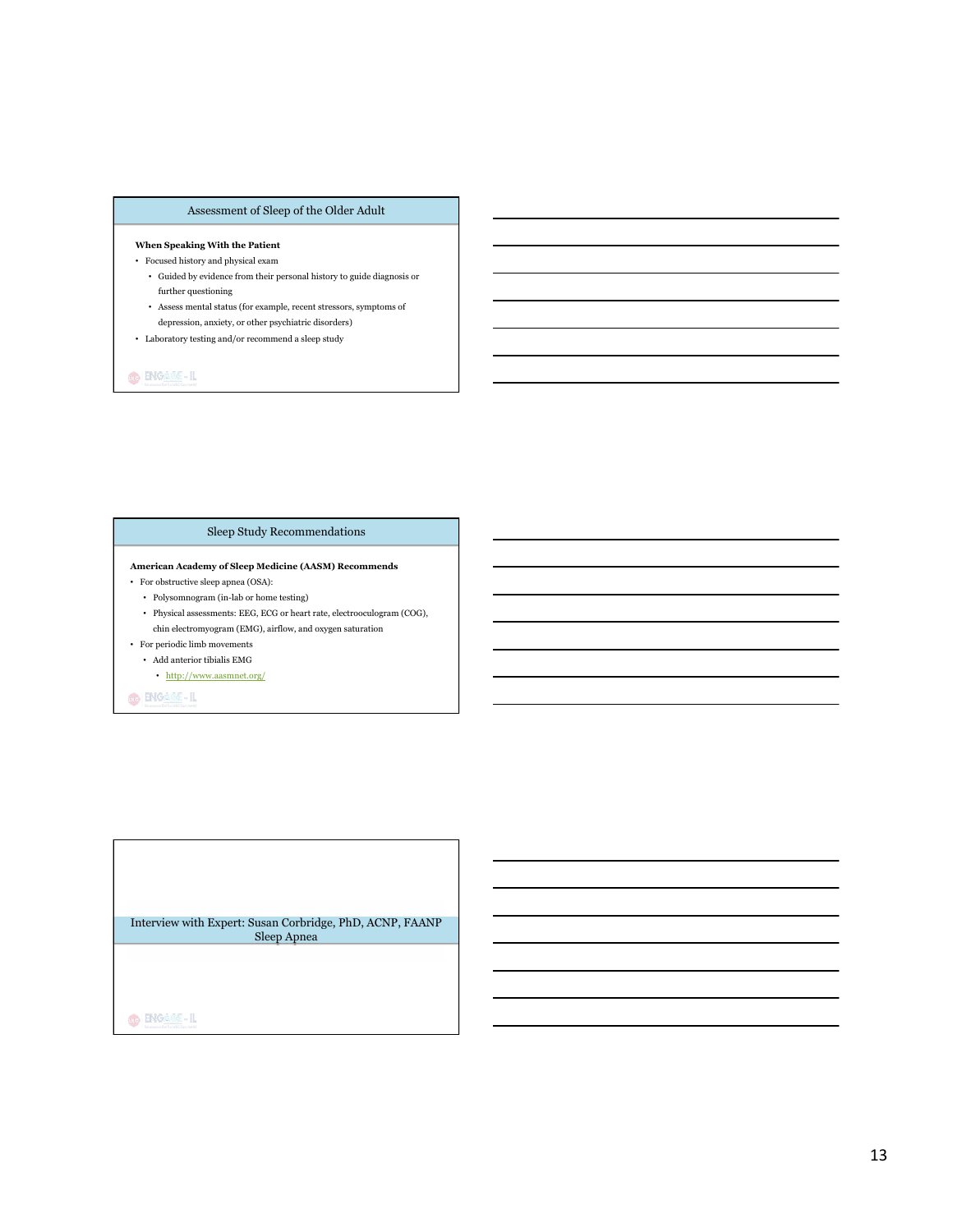# Assessment of Sleep of the Older Adult

#### **When Speaking With the Patient**

- Focused history and physical exam
	- Guided by evidence from their personal history to guide diagnosis or further questioning
	- Assess mental status (for example, recent stressors, symptoms of depression, anxiety, or other psychiatric disorders)
- $\bullet~$  Laboratory testing and/or recommend a sleep study

**GENGARE-IL** 

# Sleep Study Recommendations

#### **American Academy of Sleep Medicine (AASM) Recommends**

- For obstructive sleep apnea (OSA):
	- Polysomnogram (in-lab or home testing)
	- Physical assessments: EEG, ECG or heart rate, electrooculogram (COG),
- chin electromyogram (EMG), airflow, and oxygen saturation • For periodic limb movements
- Add anterior tibialis EMG
	- http://www.aasmnet.org/

O ENGAME-IL

Interview with Expert: Susan Corbridge, PhD, ACNP, FAANP Sleep Apnea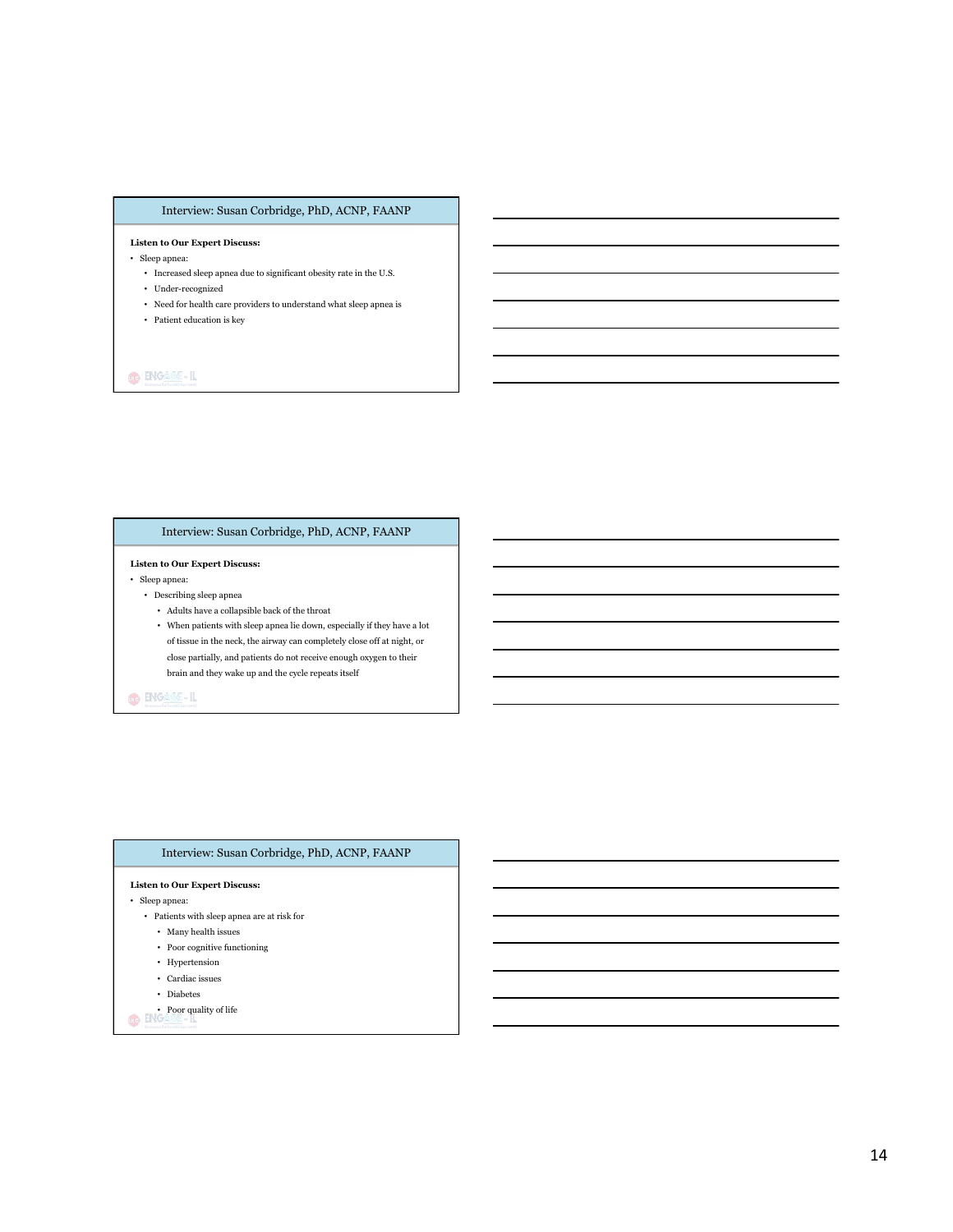# Interview: Susan Corbridge, PhD, ACNP, FAANP

#### **Listen to Our Expert Discuss:**

- Sleep apnea:
	- $\bullet~$  Increased sleep apnea due to significant obesity rate in the U.S.
	- $\bullet~$  Under-recognized
	- Need for health care providers to understand what sleep apnea is
	- Patient education is key

# $\bigcirc$  ENGASS-IL

# Interview: Susan Corbridge, PhD, ACNP, FAANP

#### **Listen to Our Expert Discuss:**

• Sleep apnea:

- Describing sleep apnea
	- $\bullet~$  Adults have a collapsible back of the throat
	- $\bullet~$  When patients with sleep apnea lie down, especially if they have a lot of tissue in the neck, the airway can completely close off at night, or close partially, and patients do not receive enough oxygen to their brain and they wake up and the cycle repeats itself

# O BIGARE-IL

# **Listen to Our Expert Discuss:**  • Sleep apnea: • Patients with sleep apnea are at risk for • Many health issues • Poor cognitive functioning • Hypertension • Cardiac issues • Diabetes • Poor quality of life Interview: Susan Corbridge, PhD, ACNP, FAANP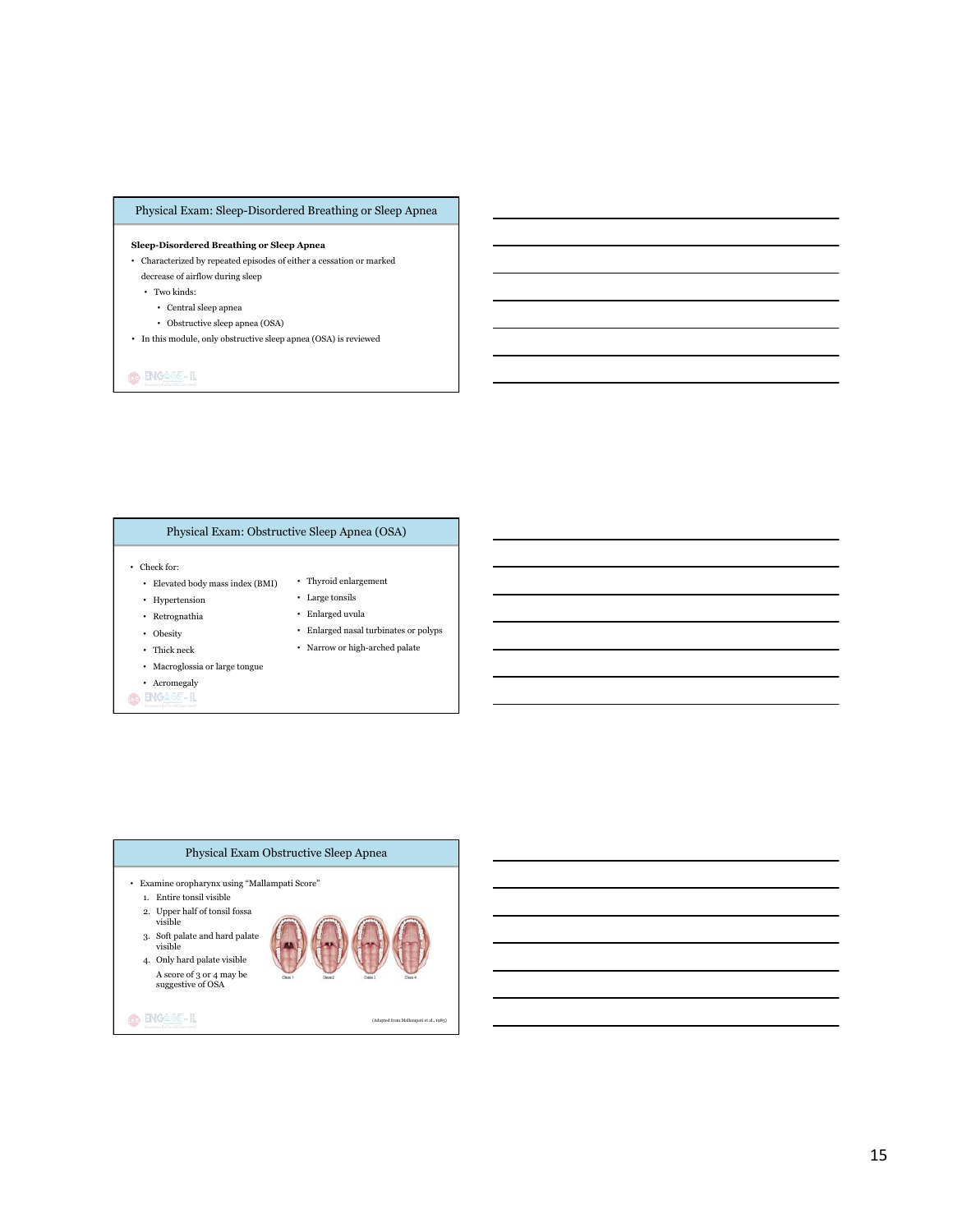# Physical Exam: Sleep-Disordered Breathing or Sleep Apnea

#### **Sleep-Disordered Breathing or Sleep Apnea**

- Characterized by repeated episodes of either a cessation or marked decrease of airflow during sleep
	-
	- Two kinds:
		- Central sleep apnea
		- Obstructive sleep apnea (OSA)
- In this module, only obstructive sleep apnea (OSA) is reviewed

# **GENGARE-IL**

# Physical Exam: Obstructive Sleep Apnea (OSA)

- Check for:
	- Elevated body mass index (BMI) Thyroid enlargement
	- Hypertension
	- Retrognathia
	- Obesity
	- Thick neck
	- Macroglossia or large tongue
- Acromegaly
- O ENGABE-IL
- Large tonsils • Enlarged uvula
- Enlarged nasal turbinates or polyps
- Narrow or high-arched palate

Physical Exam Obstructive Sleep Apnea • Examine oropharynx using "Mallampati Score" 1. Entire tonsil visible 2. Upper half of tonsil fossa visible 3. Soft palate and hard palate visible 4. Only hard palate visible A score of 3 or 4 may be suggestive of OSA **O ENGAGE-IL** (Adapted from Mallampati et al., 1985)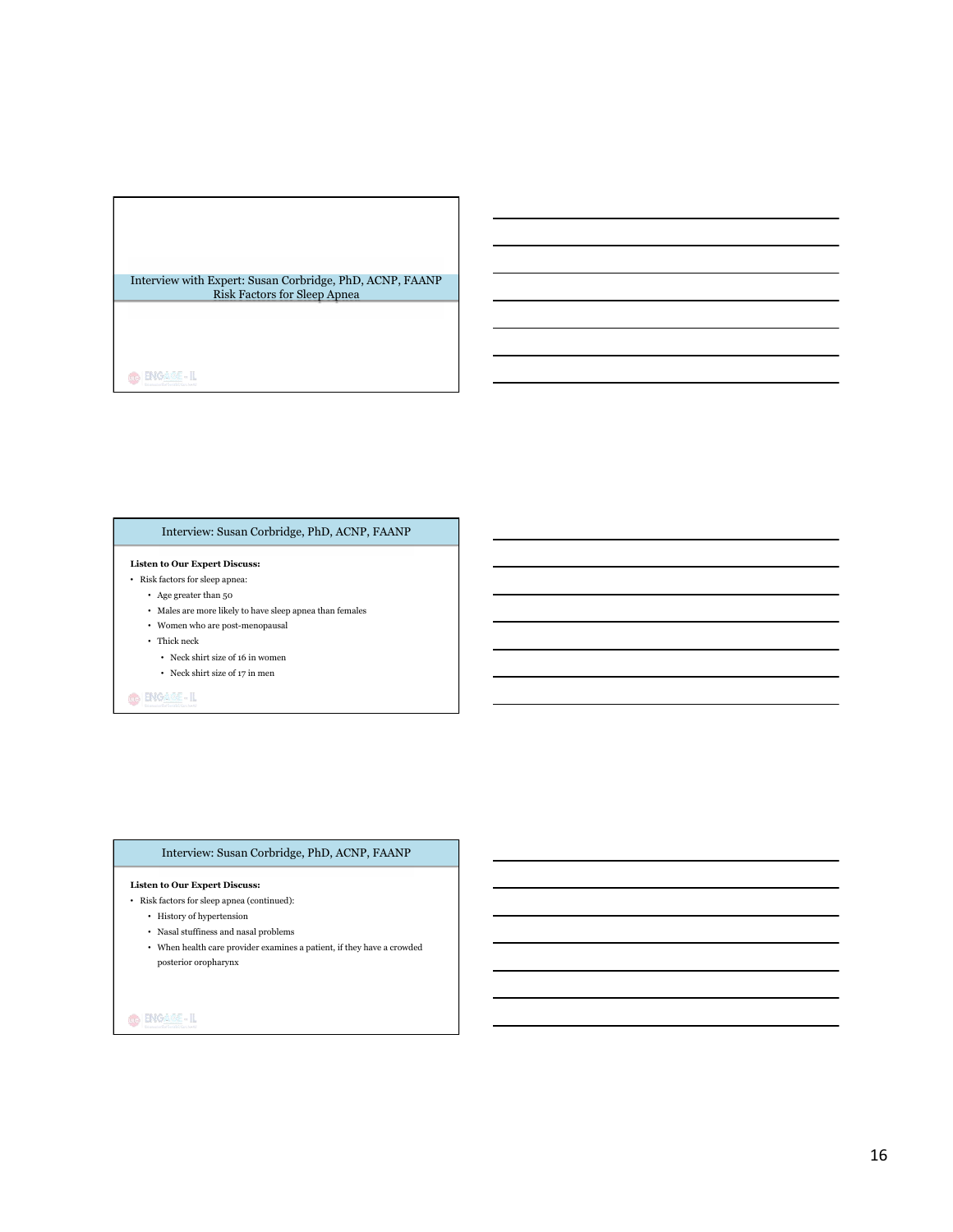### Interview with Expert: Susan Corbridge, PhD, ACNP, FAANP Risk Factors for Sleep Apnea

 $\bigcirc$   $\bigcirc$  and  $\bigcirc$ 

# Interview: Susan Corbridge, PhD, ACNP, FAANP

## **Listen to Our Expert Discuss:**

- Risk factors for sleep apnea:
	- Age greater than 50
	- Males are more likely to have sleep apnea than females
	- Women who are post-menopausal
	- Thick neck
		- Neck shirt size of 16 in women
		- Neck shirt size of 17 in men

# O ENGAME-IL

# Interview: Susan Corbridge, PhD, ACNP, FAANP

#### **Listen to Our Expert Discuss:**

- Risk factors for sleep apnea (continued):
	- History of hypertension
	- Nasal stuffiness and nasal problems
	- $\bullet~$  When health care provider examines a patient, if they have a crowded posterior oropharynx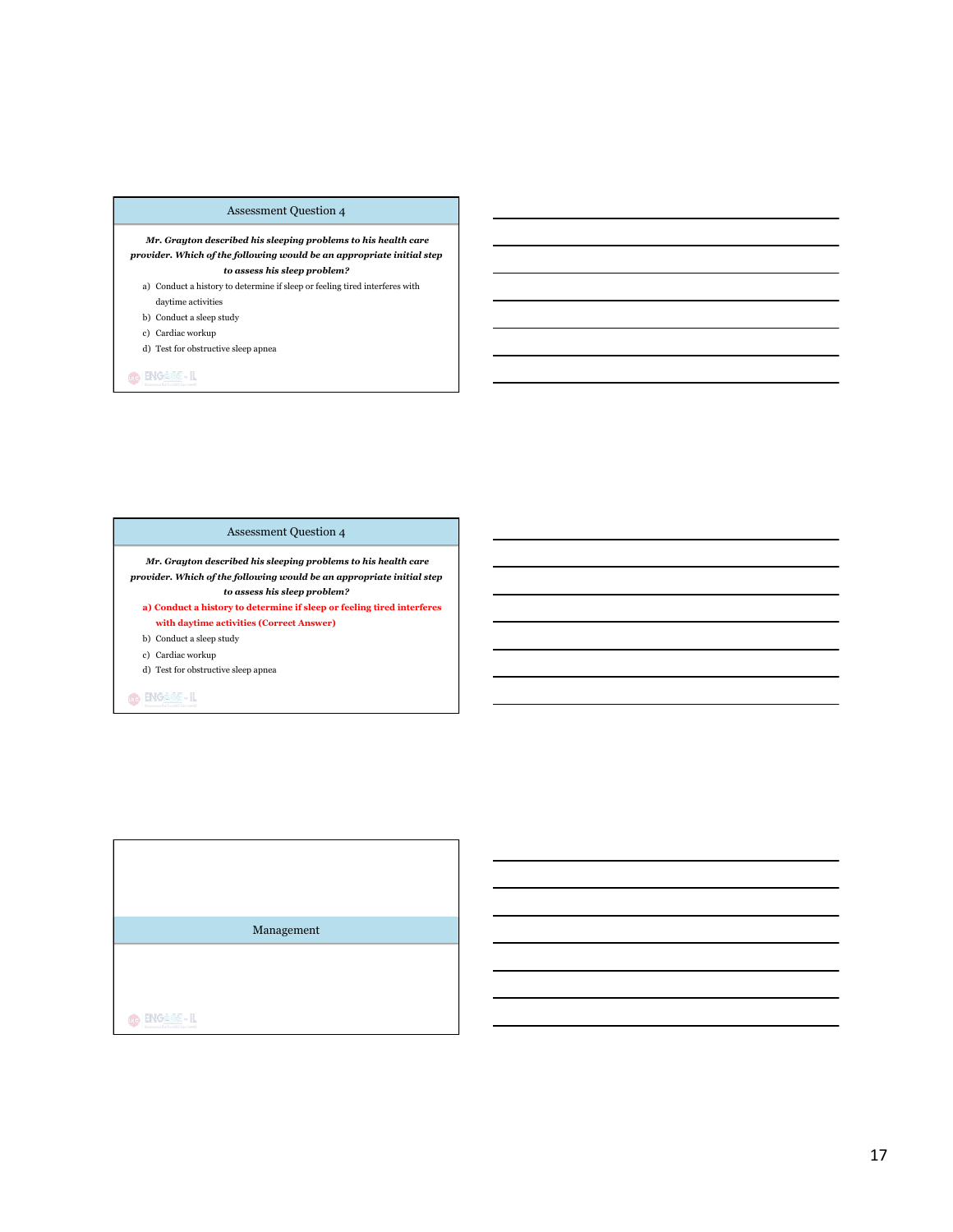# Assessment Question 4

 *Mr. Grayton described his sleeping problems to his health care provider. Which of the following would be an appropriate initial step to assess his sleep problem?*

- a) Conduct a history to determine if sleep or feeling tired interferes with daytime activities
- b) Conduct a sleep study
- c) Cardiac workup
- d) Test for obstructive sleep apnea

**GENGARE-IL** 

# Assessment Question 4

 *Mr. Grayton described his sleeping problems to his health care provider. Which of the following would be an appropriate initial step to assess his sleep problem?*

**a) Conduct a history to determine if sleep or feeling tired interferes with daytime activities (Correct Answer)** 

b) Conduct a sleep study

c) Cardiac workup

d) Test for obstructive sleep apnea

O ENGAME-IL

Management

 $\bigcirc$  **ENGASE-IL**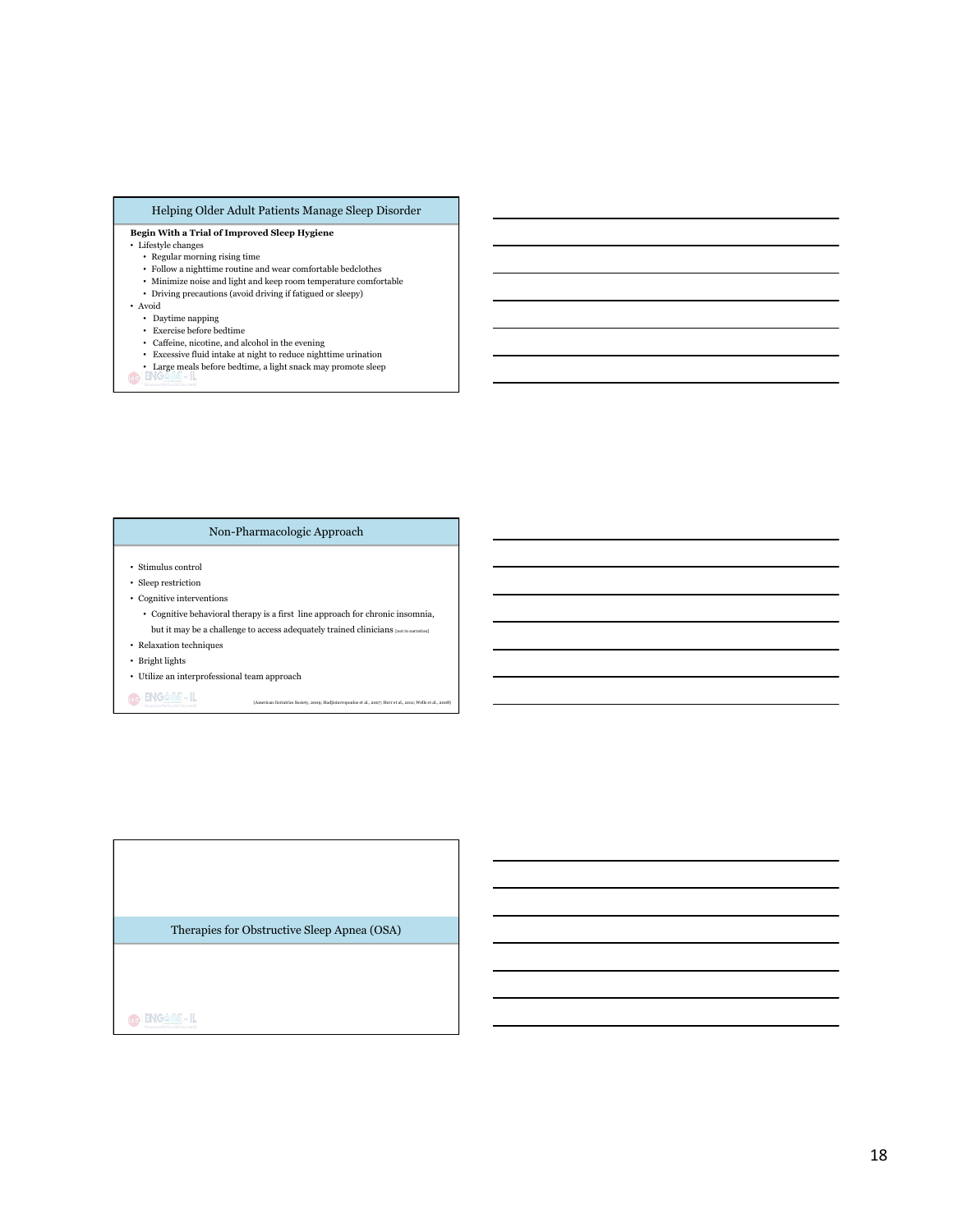# Helping Older Adult Patients Manage Sleep Disorder

#### **Begin With a Trial of Improved Sleep Hygiene**

#### $\bullet~$  Lifestyle changes

- Regular morning rising time
- $\bullet~$  Follow a night<br>time routine and wear comfortable bedclothes
- $\bullet~$  Minimize noise and light and keep room temperature comfortable
- Driving precautions (avoid driving if fatigued or sleepy)
- 
- Avoid Daytime napping
- Exercise before bedtime
- 
- 
- Caffeine, nicotine, and alcohol in the evening Excessive fluid intake at night to reduce nighttime urination Large meals before bedtime, a light snack may promote sleep

# Non-Pharmacologic Approach

- Stimulus control
- Sleep restriction
- Cognitive interventions
	- $\bullet~$  Cognitive behavioral therapy is a first line approach for chronic insomnia, but it may be a challenge to access adequately trained clinicians [not in narration]

(American Geriatrics Society, 2009; Hadjistavropoulos et al., 2007; Herr et al., 2011; Wells et al., 2008)

- Relaxation techniques
- Bright lights
- Utilize an interprofessional team approach

O BNGASE-IL

Therapies for Obstructive Sleep Apnea (OSA)

 $\bigcirc$  ENGASE-IL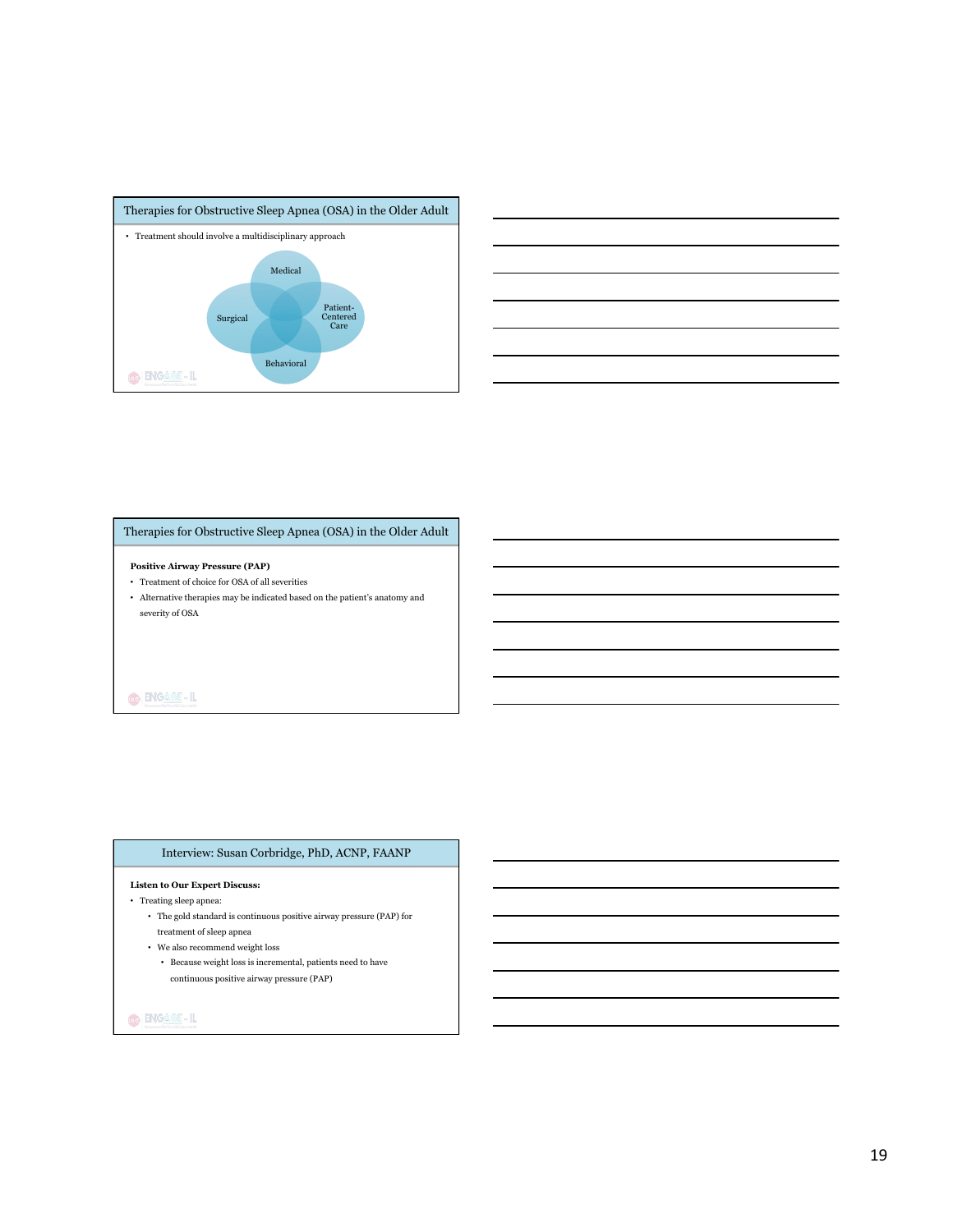



# Therapies for Obstructive Sleep Apnea (OSA) in the Older Adult

#### **Positive Airway Pressure (PAP)**

- $\bullet~$  Treatment of choice for OSA of all severities
- Alternative therapies may be indicated based on the patient's anatomy and severity of OSA

## O ENGAGE-IL

# Interview: Susan Corbridge, PhD, ACNP, FAANP

# **Listen to Our Expert Discuss:**

## • Treating sleep apnea:

- The gold standard is continuous positive airway pressure (PAP) for treatment of sleep apnea
- $\bullet~$  We also recommend weight loss
- Because weight loss is incremental, patients need to have continuous positive airway pressure (PAP)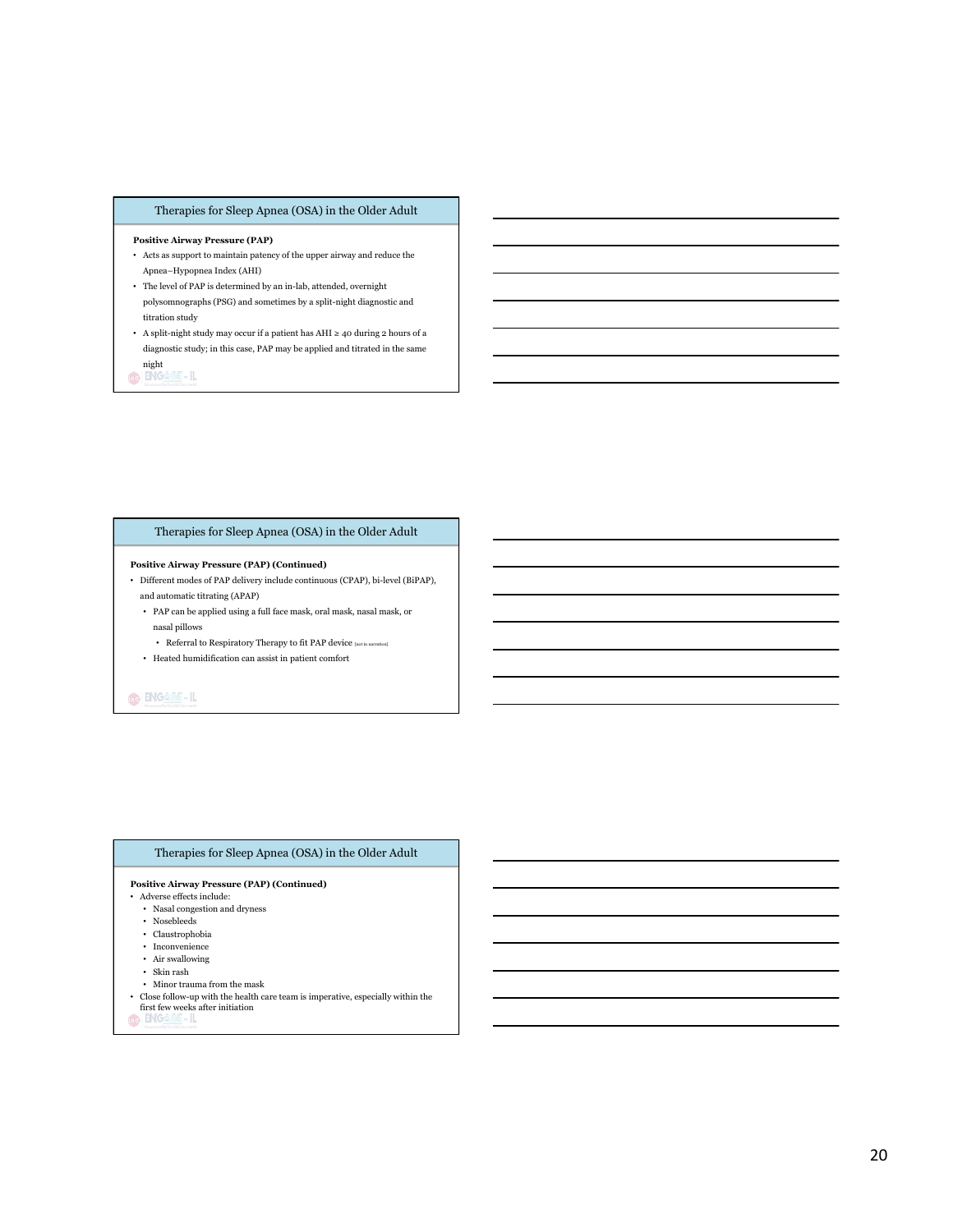# Therapies for Sleep Apnea (OSA) in the Older Adult

#### **Positive Airway Pressure (PAP)**

- Acts as support to maintain patency of the upper airway and reduce the Apnea–Hypopnea Index (AHI)
- The level of PAP is determined by an in-lab, attended, overnight polysomnographs (PSG) and sometimes by a split-night diagnostic and titration study
- A split-night study may occur if a patient has AHI  $\geq$  40 during 2 hours of a diagnostic study; in this case, PAP may be applied and titrated in the same night

8-IL  $\odot$  ENG

# Therapies for Sleep Apnea (OSA) in the Older Adult

#### **Positive Airway Pressure (PAP) (Continued)**

- Different modes of PAP delivery include continuous (CPAP), bi-level (BiPAP), and automatic titrating (APAP)
	- PAP can be applied using a full face mask, oral mask, nasal mask, or nasal pillows
	- Referral to Respiratory Therapy to fit PAP device  $_{\tiny{\textnormal{[not in aaration]}}}$
	- Heated humidification can assist in patient comfort

# O ENGAME-IL

#### Therapies for Sleep Apnea (OSA) in the Older Adult

#### **Positive Airway Pressure (PAP) (Continued)**

- Adverse effects include:
	- Nasal congestion and dryness
	- Nosebleeds
	- Claustrophobia
	- Inconvenience
	- Air swallowing • Skin rash
	- Minor trauma from the mask
	-
- Close follow-up with the health care team is imperative, especially within the first few weeks after initiation
-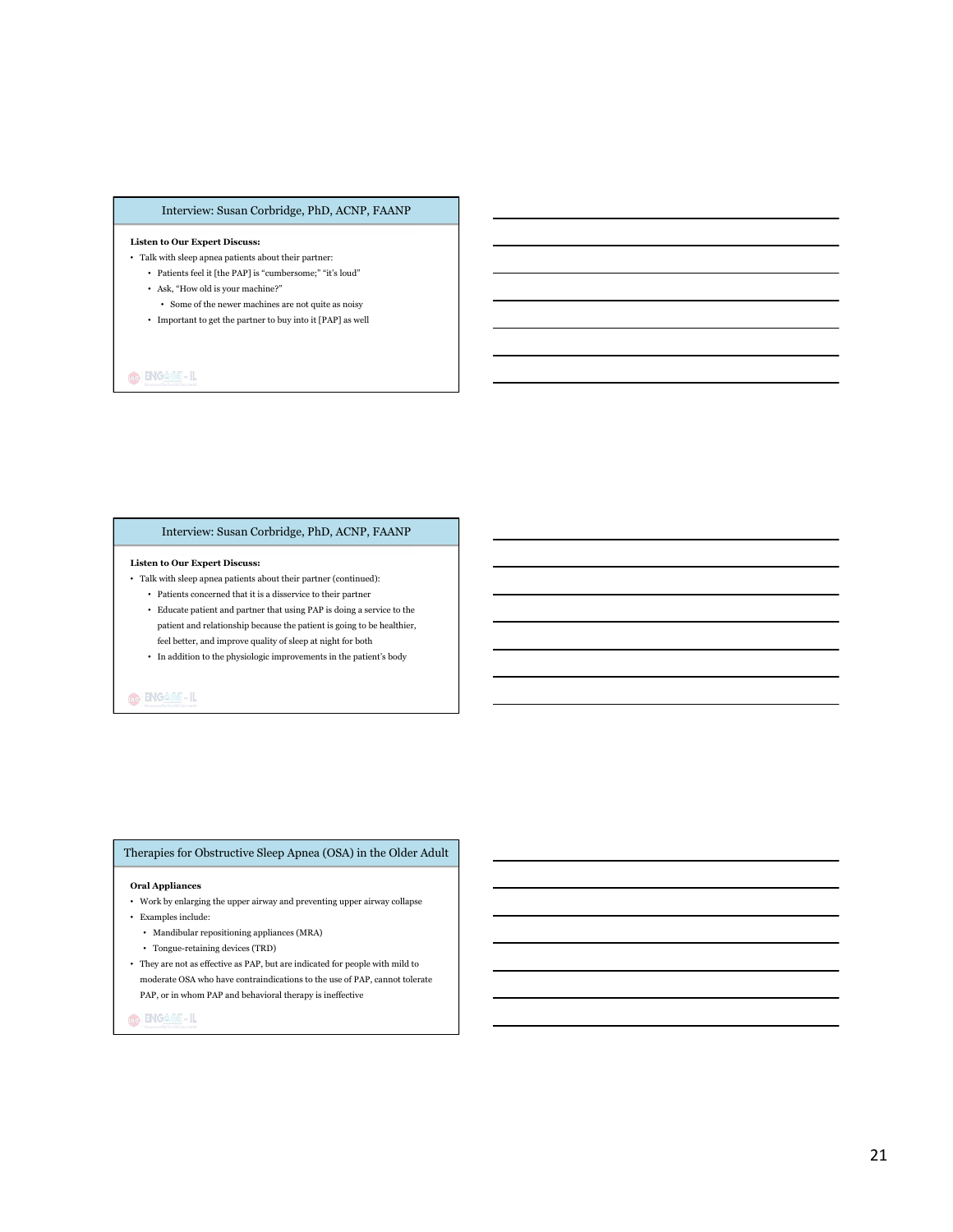# Interview: Susan Corbridge, PhD, ACNP, FAANP

#### **Listen to Our Expert Discuss:**

- Talk with sleep apnea patients about their partner:
	- Patients feel it [the PAP] is "cumbersome;" "it's loud"  $\,$
	- Ask, "How old is your machine?" • Some of the newer machines are not quite as noisy
	- Important to get the partner to buy into it [PAP] as well
- $\bigcirc$  ENGASS-IL

# Interview: Susan Corbridge, PhD, ACNP, FAANP

#### **Listen to Our Expert Discuss:**

- Talk with sleep apnea patients about their partner (continued):
	- Patients concerned that it is a disservice to their partner
	- Educate patient and partner that using PAP is doing a service to the patient and relationship because the patient is going to be healthier, feel better, and improve quality of sleep at night for both
	- In addition to the physiologic improvements in the patient's body

# O ENGAME-IL

#### Therapies for Obstructive Sleep Apnea (OSA) in the Older Adult

#### **Oral Appliances**

- $\bullet~$  Work by enlarging the upper airway and preventing upper airway collapse
- Examples include:
	- Mandibular repositioning appliances (MRA)
	- Tongue-retaining devices (TRD)
- $\bullet~$  They are not as effective as PAP, but are indicated for people with mild to moderate OSA who have contraindications to the use of PAP, cannot tolerate PAP, or in whom PAP and behavioral therapy is ineffective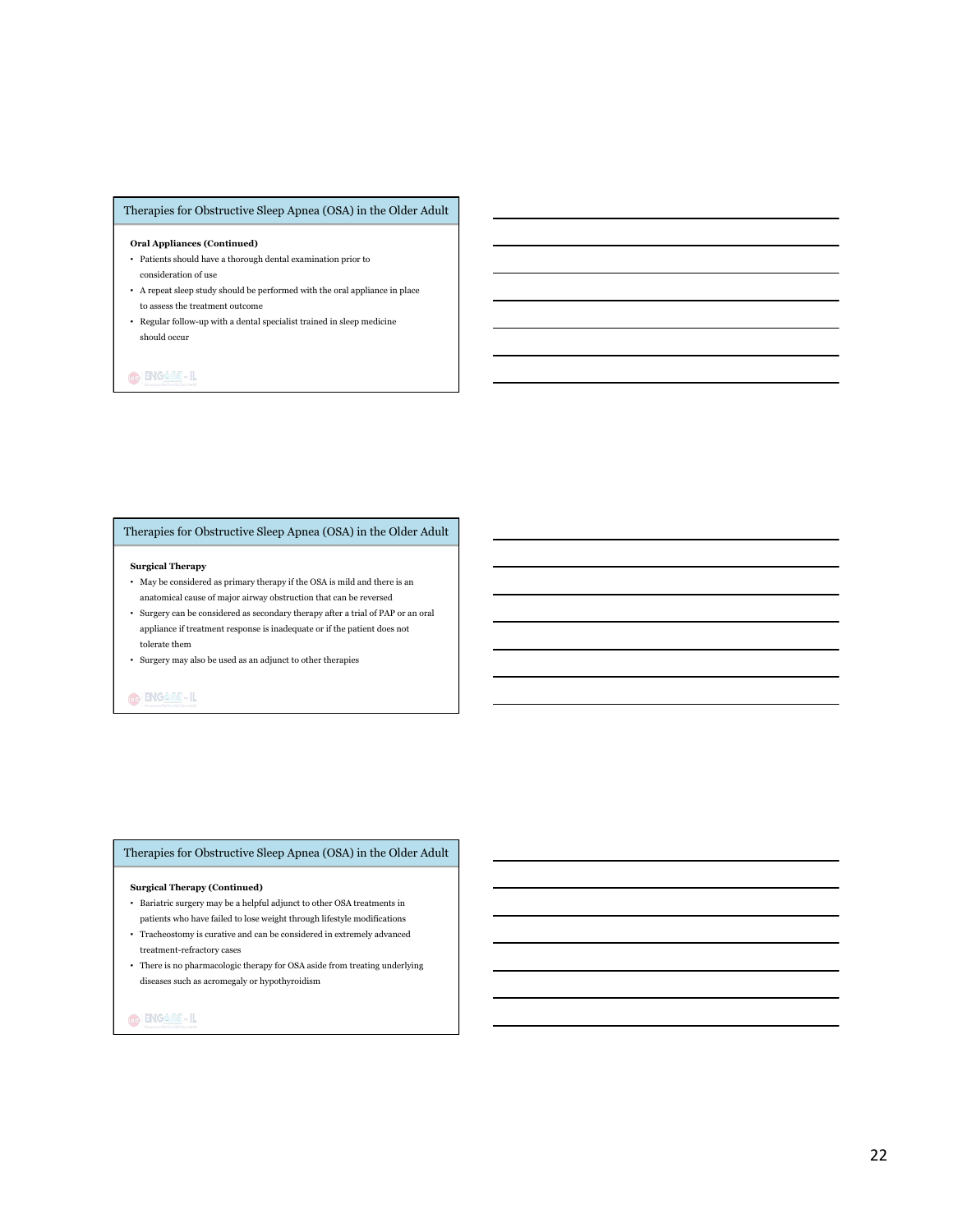### Therapies for Obstructive Sleep Apnea (OSA) in the Older Adult

#### **Oral Appliances (Continued)**

- Patients should have a thorough dental examination prior to consideration of use
- A repeat sleep study should be performed with the oral appliance in place to assess the treatment outcome
- Regular follow-up with a dental specialist trained in sleep medicine should occur

# **GENGARE-IL**

# Therapies for Obstructive Sleep Apnea (OSA) in the Older Adult

#### **Surgical Therapy**

- May be considered as primary therapy if the OSA is mild and there is an anatomical cause of major airway obstruction that can be reversed
- Surgery can be considered as secondary therapy after a trial of PAP or an oral appliance if treatment response is inadequate or if the patient does not tolerate them
- Surgery may also be used as an adjunct to other therapies

# O ENGAME-IL

#### Therapies for Obstructive Sleep Apnea (OSA) in the Older Adult

#### **Surgical Therapy (Continued)**

- Bariatric surgery may be a helpful adjunct to other OSA treatments in patients who have failed to lose weight through lifestyle modifications
- Tracheostomy is curative and can be considered in extremely advanced treatment-refractory cases
- There is no pharmacologic therapy for OSA aside from treating underlying diseases such as acromegaly or hypothyroidism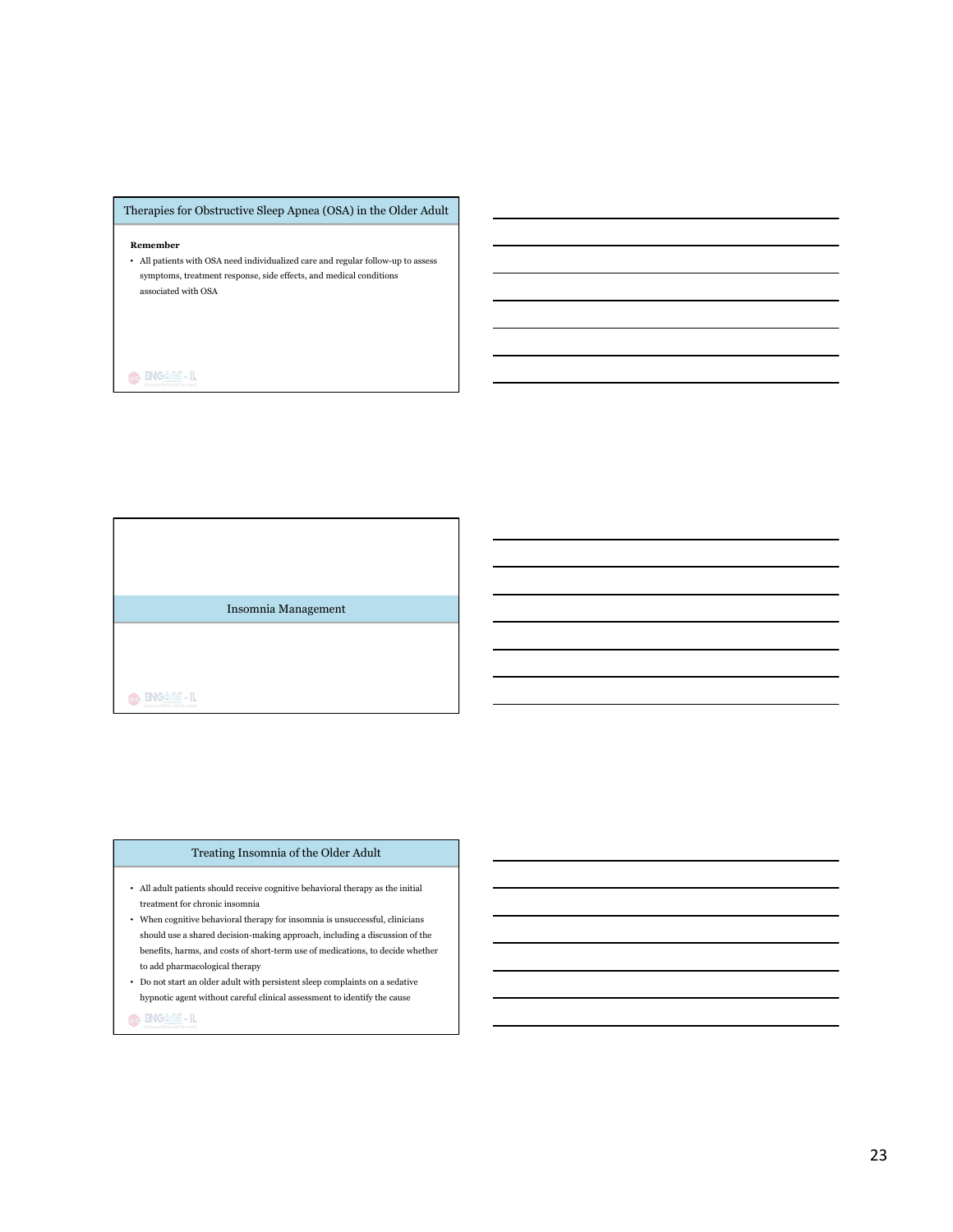# Therapies for Obstructive Sleep Apnea (OSA) in the Older Adult

## **Remember**

• All patients with OSA need individualized care and regular follow-up to assess symptoms, treatment response, side effects, and medical conditions associated with OSA

 $\bigcirc$   $\bigcirc$   $\overline{AB}$  - IL

Insomnia Management

O ENGAGE-IL

#### Treating Insomnia of the Older Adult

- All adult patients should receive cognitive behavioral therapy as the initial  $\,$ treatment for chronic insomnia
- When cognitive behavioral therapy for insomnia is unsuccessful, clinicians should use a shared decision-making approach, including a discussion of the benefits, harms, and costs of short-term use of medications, to decide whether to add pharmacological therapy
- Do not start an older adult with persistent sleep complaints on a sedative hypnotic agent without careful clinical assessment to identify the cause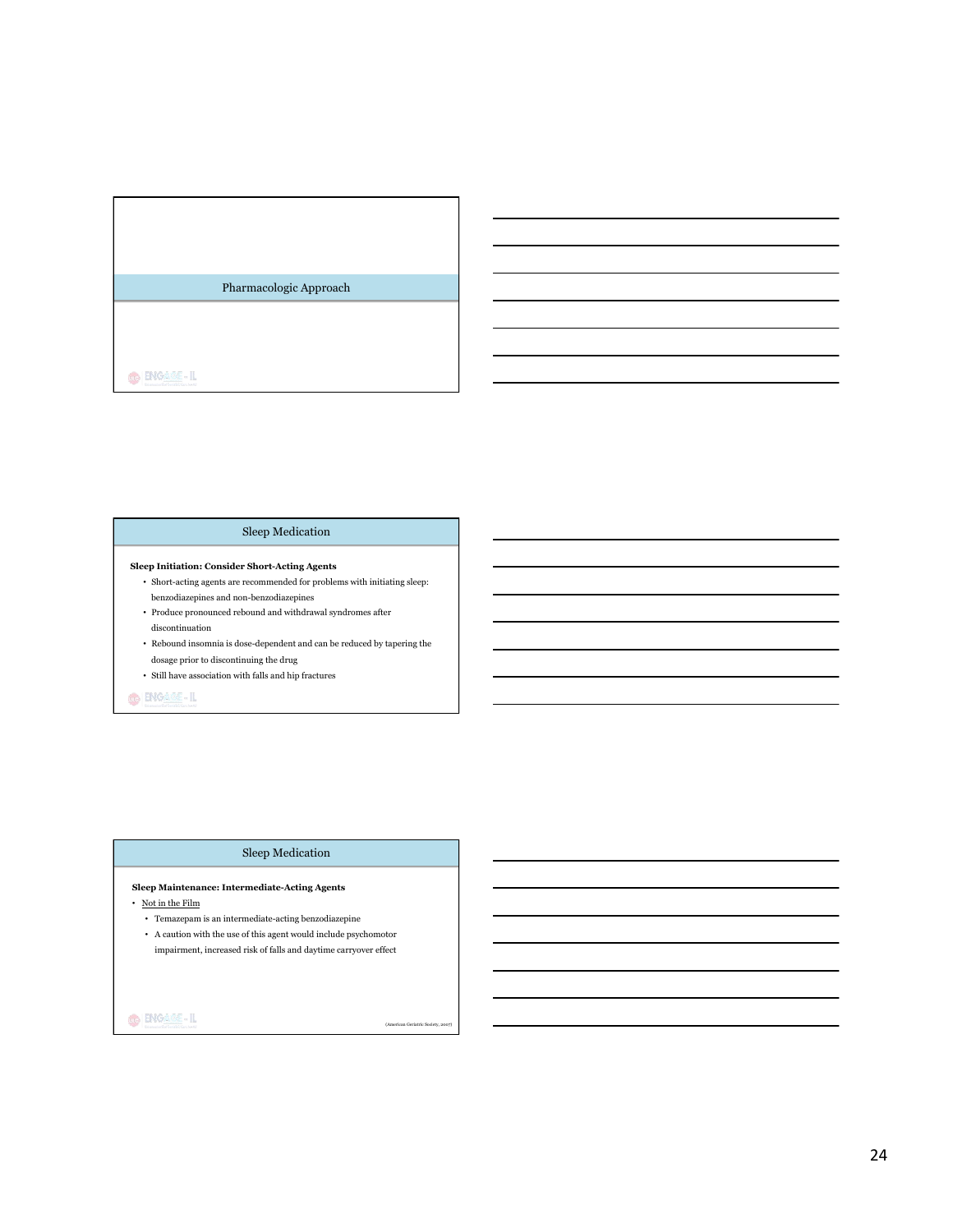# Pharmacologic Approach

 $\bigcirc$  ENGASS-IL

# Sleep Medication

#### **Sleep Initiation: Consider Short-Acting Agents**

- $\bullet~$  Short-acting agents are recommended for problems with initiating sleep: benzodiazepines and non-benzodiazepines
- Produce pronounced rebound and withdrawal syndromes after discontinuation
- Rebound insomnia is dose-dependent and can be reduced by tapering the dosage prior to discontinuing the drug
- $\bullet~$  Still have association with falls and hip fractures

# O ENGAME-IL

### Sleep Medication

### **Sleep Maintenance: Intermediate-Acting Agents**

- Not in the Film
	- Temazepam is an intermediate-acting benzodiazepine
	- $\,$  A caution with the use of this agent would include psychomotor impairment, increased risk of falls and daytime carryover effect

(American Geriatric Society, 2007)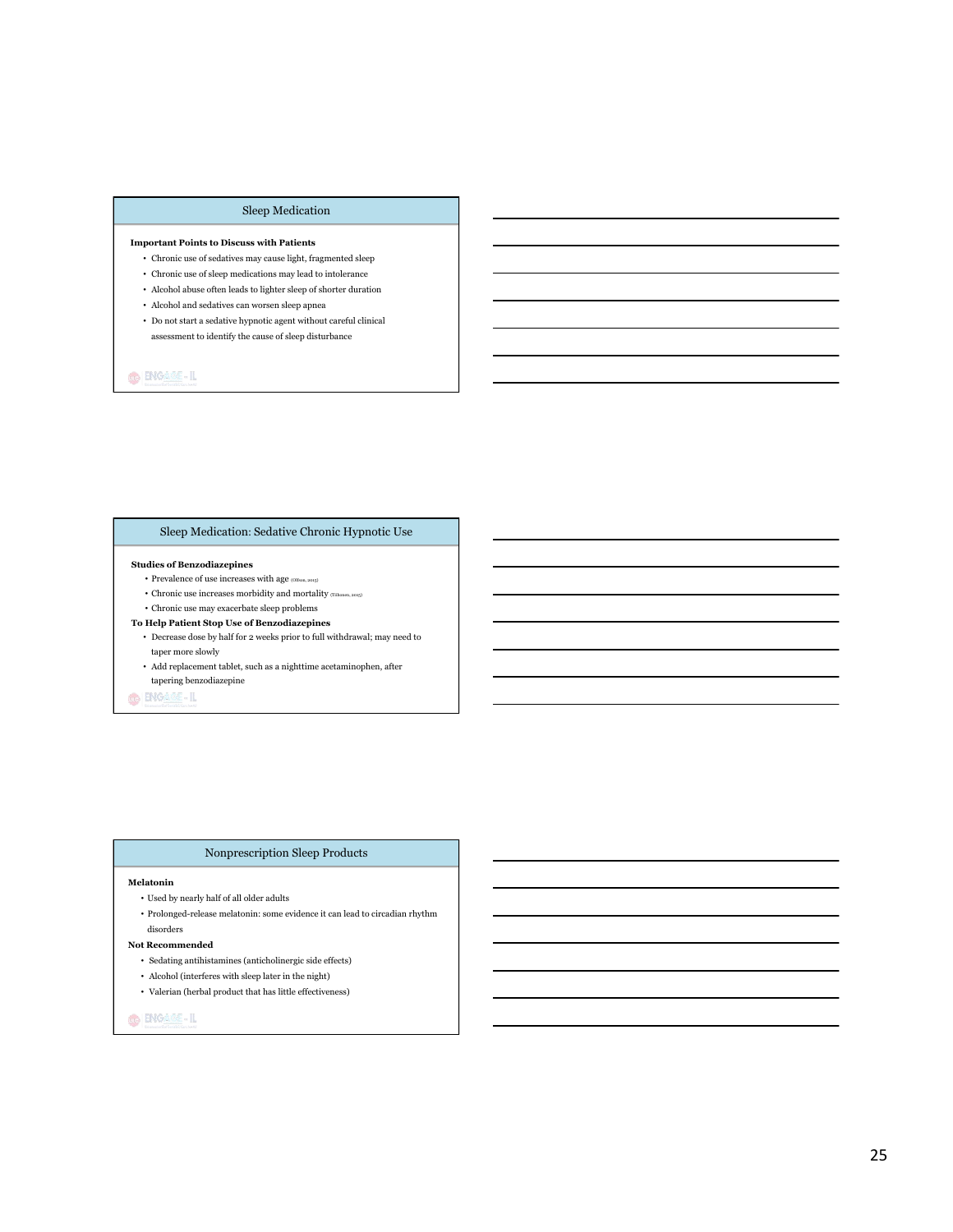## Sleep Medication

#### **Important Points to Discuss with Patients**

- Chronic use of sedatives may cause light, fragmented sleep
- Chronic use of sleep medications may lead to intolerance
- $\bullet~$  Alcohol abuse often leads to lighter sleep of shorter duration
- Alcohol and sedatives can worsen sleep apnea
- Do not start a sedative hypnotic agent without careful clinical assessment to identify the cause of sleep disturbance

**GENGARE-IL** 

# Sleep Medication: Sedative Chronic Hypnotic Use

#### **Studies of Benzodiazepines**

- $\bullet$  Prevalence of use increases with age  $_{\rm (Olfson, 2015)}$
- Chronic use increases morbidity and mortality (Tiihonen, 2015)
- Chronic use may exacerbate sleep problems

# **To Help Patient Stop Use of Benzodiazepines**

- Decrease dose by half for 2 weeks prior to full withdrawal; may need to taper more slowly
- Add replacement tablet, such as a nighttime acetaminophen, after tapering benzodiazepine

**O** BIGARE-IL

### Nonprescription Sleep Products

#### **Melatonin**

- $\bullet\,$  Used by nearly half of all older adults
- Prolonged-release melatonin: some evidence it can lead to circadian rhythm disorders

#### **Not Recommended**

- Sedating antihistamines (anticholinergic side effects)
- $\bullet~$  Alcohol (interferes with sleep later in the night)
- $\bullet~$  Valerian (herbal product that has little effectiveness)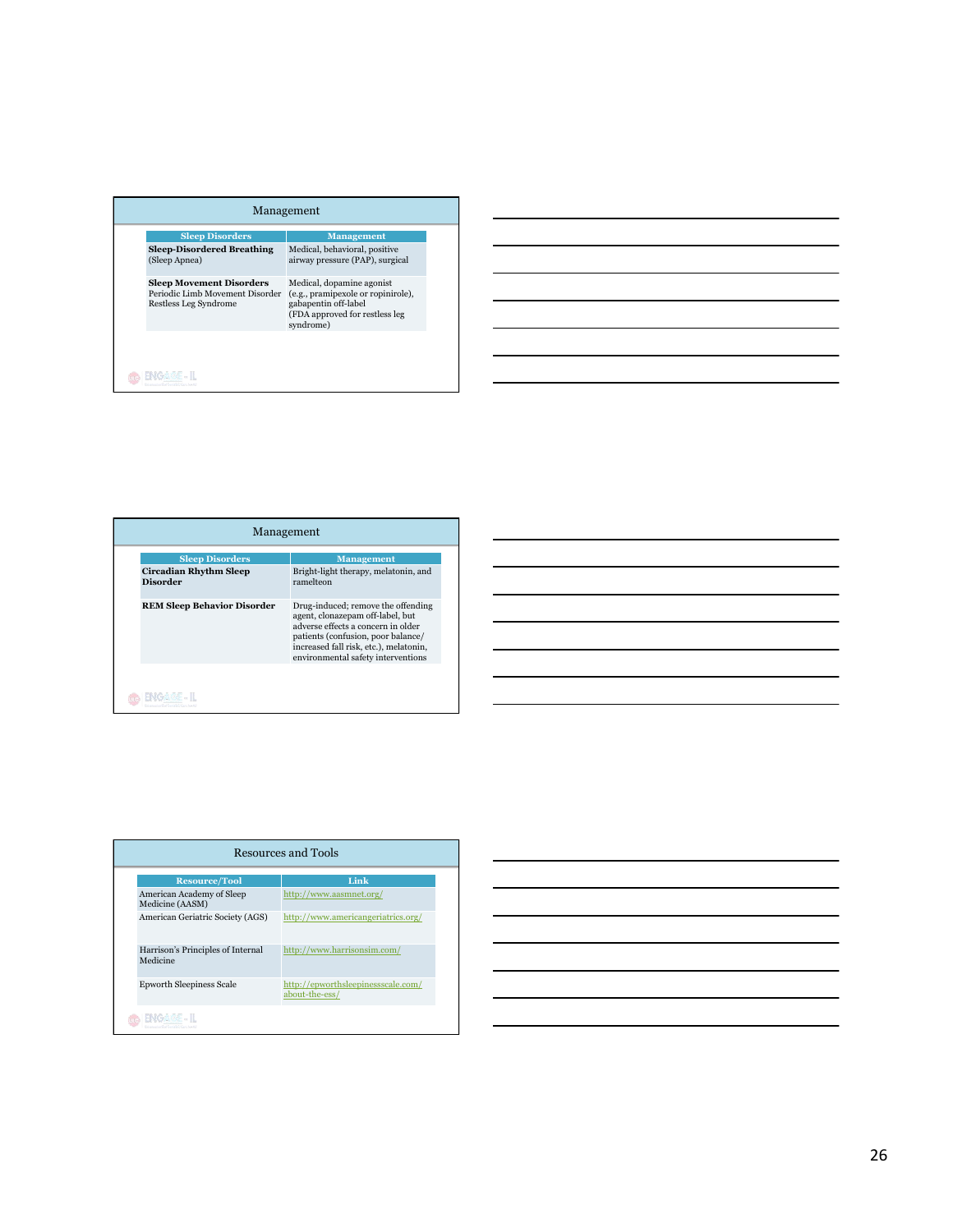| <b>Sleep Disorders</b>                                                                      | <b>Management</b>                                                                                                                      |
|---------------------------------------------------------------------------------------------|----------------------------------------------------------------------------------------------------------------------------------------|
| <b>Sleep-Disordered Breathing</b><br>(Sleep Apnea)                                          | Medical, behavioral, positive<br>airway pressure (PAP), surgical                                                                       |
| <b>Sleep Movement Disorders</b><br>Periodic Limb Movement Disorder<br>Restless Leg Syndrome | Medical, dopamine agonist<br>(e.g., pramipexole or ropinirole),<br>gabapentin off-label<br>(FDA approved for restless leg<br>syndrome) |



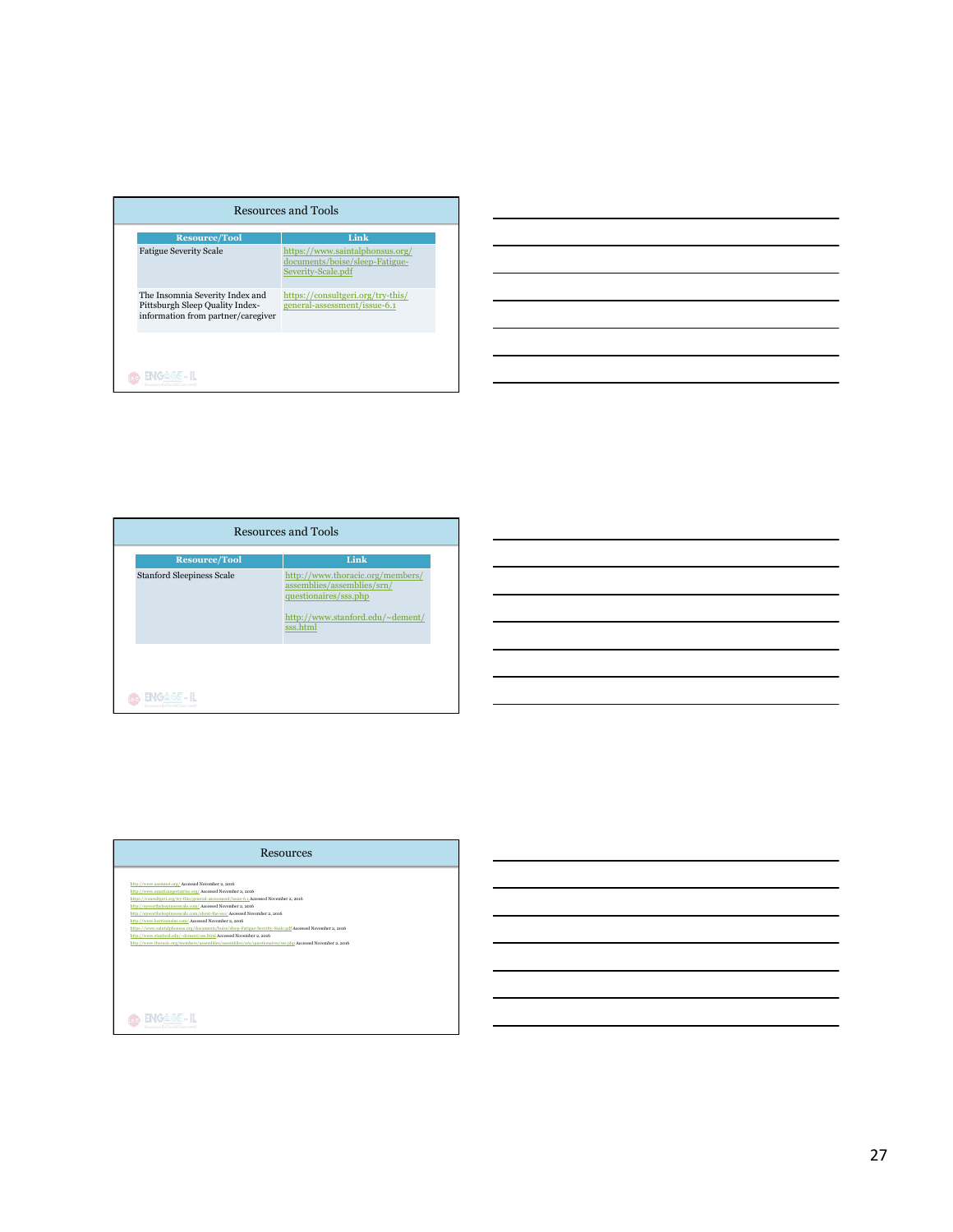| <b>Resource/Tool</b><br><b>Fatigue Severity Scale</b>                                                    | Link<br>https://www.saintalphonsus.org/<br>documents/boise/sleep-Fatigue-<br>Severity-Scale.pdf |
|----------------------------------------------------------------------------------------------------------|-------------------------------------------------------------------------------------------------|
| The Insomnia Severity Index and<br>Pittsburgh Sleep Quality Index-<br>information from partner/caregiver | https://consultgeri.org/try-this/<br>general-assessment/issue-6.1                               |



| <b>Resources</b>                                                                                          |  |
|-----------------------------------------------------------------------------------------------------------|--|
|                                                                                                           |  |
| http://www.aasmnet.org/ Accessed November 2, 2016                                                         |  |
| http://www.americangeriatrics.org/ Accessed November 2, 2016                                              |  |
| https://consultgeri.org/try-this/general-assessment/issue-6.1 Accessed November 2, 2016                   |  |
| http://epworthsleepinessscale.com/Accessed November 2, 2016                                               |  |
| http://epworthsleepinessscale.com/about-the-ess/ Accessed November 2, 2016                                |  |
| http://www.harrisonsim.com/ Accessed November 2, 2016                                                     |  |
| https://www.saintalphonsus.org/documents/boise/sleep-Fatigue-Severity-Scale.pdf Accessed November 2, 2016 |  |
| http://www.stanford.edu/~dement/sss.html Accessed November 2, 2016                                        |  |
| http://www.thoracic.org/members/assemblies/assemblies/srn/questionaires/sss.php Accessed November 2, 2016 |  |
|                                                                                                           |  |
|                                                                                                           |  |
|                                                                                                           |  |
|                                                                                                           |  |
|                                                                                                           |  |
|                                                                                                           |  |
|                                                                                                           |  |
|                                                                                                           |  |
|                                                                                                           |  |
| NGAGE - IL                                                                                                |  |
|                                                                                                           |  |